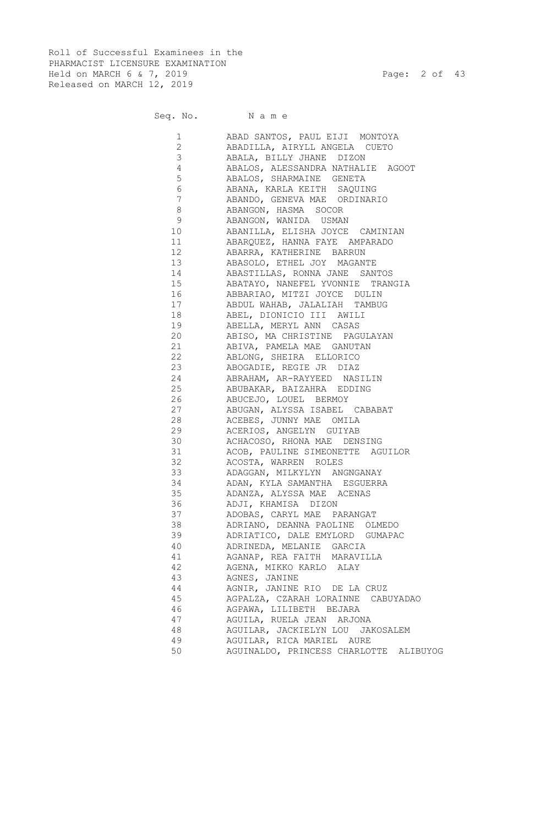Roll of Successful Examinees in the PHARMACIST LICENSURE EXAMINATION Held on MARCH 6 & 7, 2019 Page: 2 of 43 Released on MARCH 12, 2019

Seq. No. Name

| 1<br>$\overline{2}$             | ABAD SANTOS, PAUL EIJI MONTOYA            |
|---------------------------------|-------------------------------------------|
| 3                               | ABADILLA, AIRYLL ANGELA CUETO             |
|                                 | ABALA, BILLY JHANE DIZON                  |
| $\overline{4}$                  | ABALOS, ALESSANDRA NATHALIE AGOOT         |
| 5                               | ABALOS, SHARMAINE GENETA                  |
| 6                               | ABANA, KARLA KEITH SAQUING                |
| 7                               | ABANDO, GENEVA MAE ORDINARIO              |
| 8                               | ABANGON, HASMA SOCOR                      |
| 9                               | ABANGON, WANIDA USMAN                     |
| 10                              | ABANILLA, ELISHA JOYCE CAMINIAN           |
| 11                              | ABAROUEZ, HANNA FAYE AMPARADO             |
| 12 and $\overline{a}$           | ABARRA, KATHERINE BARRUN                  |
| 13 and $\overline{\phantom{a}}$ | ABASOLO, ETHEL JOY MAGANTE                |
| 14                              | ABASTILLAS, RONNA JANE SANTOS             |
| 15                              | ABATAYO, NANEFEL YVONNIE TRANGIA          |
|                                 | ABBARIAO, MITZI JOYCE DULIN               |
| 17                              | ABDUL WAHAB, JALALIAH TAMBUG              |
| 18 and $\overline{\phantom{a}}$ | ABEL, DIONICIO III AWILI                  |
| 19                              | ABELLA, MERYL ANN CASAS                   |
| 20                              | ABISO, MA CHRISTINE PAGULAYAN             |
| 21                              | ABIVA, PAMELA MAE GANUTAN                 |
| 22                              | ABLONG, SHEIRA ELLORICO                   |
| 23                              | ABOGADIE, REGIE JR DIAZ                   |
| 24                              | ABRAHAM, AR-RAYYEED NASILIN               |
| 25                              | ABUBAKAR, BAIZAHRA EDDING                 |
| 26                              | ABUCEJO, LOUEL BERMOY                     |
| 27                              | ABUGAN, ALYSSA ISABEL CABABAT             |
| 28                              | ACEBES, JUNNY MAE OMILA                   |
| 29                              | ACERIOS, ANGELYN GUIYAB                   |
| 30                              | ACHACOSO, RHONA MAE DENSING               |
| 31                              | ACOB, PAULINE SIMEONETTE AGUILOR          |
| 32                              | ACOSTA, WARREN ROLES                      |
| 33                              | ADAGGAN, MILKYLYN ANGNGANAY               |
| 34                              | ADAN, KYLA SAMANTHA ESGUERRA              |
| 35                              | ADANZA, ALYSSA MAE ACENAS                 |
| 36                              | ADJI, KHAMISA DIZON                       |
| 37                              | ADOBAS, CARYL MAE PARANGAT                |
| 38                              | ADRIANO, DEANNA PAOLINE OLMEDO            |
| 39                              | ADRIATICO, DALE EMYLORD GUMAPAC           |
| 40                              | ADRINEDA, MELANIE GARCIA                  |
| 41                              | AGANAP, REA FAITH MARAVILLA               |
| 42                              | AGENA, MIKKO KARLO ALAY                   |
| 43                              | AGNES, JANINE                             |
| 44                              | AGNIR, JANINE RIO DE LA CRUZ              |
| 45                              | AGPALZA, CZARAH LORAINNE CABUYADAO        |
| 46                              | AGPAWA, LILIBETH BEJARA                   |
| 47                              | AGUILA, RUELA JEAN ARJONA                 |
| 48                              | AGUILAR, JACKIELYN LOU JAKOSALEM          |
| 49                              | AGUILAR, RICA MARIEL AURE                 |
| 50                              | AGUINALDO, PRINCESS CHARLOTTE<br>ALIBUYOG |
|                                 |                                           |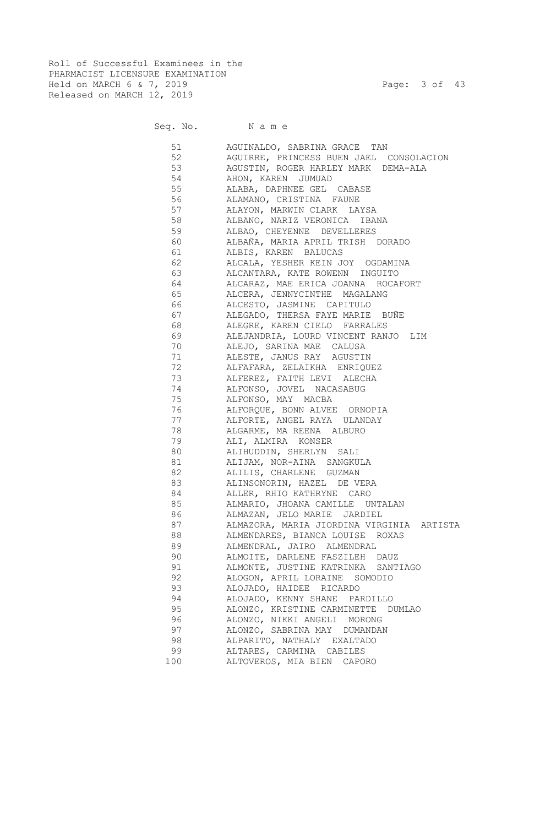Roll of Successful Examinees in the PHARMACIST LICENSURE EXAMINATION Held on MARCH 6 & 7, 2019 Page: 3 of 43 Released on MARCH 12, 2019

# Seq. No. Name

 51 AGUINALDO, SABRINA GRACE TAN 52 AGUIRRE, PRINCESS BUEN JAEL CONSOLACION 53 AGUSTIN, ROGER HARLEY MARK DEMA-ALA 54 AHON, KAREN JUMUAD 55 ALABA, DAPHNEE GEL CABASE 56 ALAMANO, CRISTINA FAUNE 57 ALAYON, MARWIN CLARK LAYSA 58 ALBANO, NARIZ VERONICA IBANA 59 ALBAO, CHEYENNE DEVELLERES 60 ALBAÑA, MARIA APRIL TRISH DORADO 61 ALBIS, KAREN BALUCAS 62 ALCALA, YESHER KEIN JOY OGDAMINA 63 ALCANTARA, KATE ROWENN INGUITO 64 ALCARAZ, MAE ERICA JOANNA ROCAFORT 65 ALCERA, JENNYCINTHE MAGALANG 66 ALCESTO, JASMINE CAPITULO 67 ALEGADO, THERSA FAYE MARIE BUÑE 68 ALEGRE, KAREN CIELO FARRALES 69 ALEJANDRIA, LOURD VINCENT RANJO LIM 70 ALEJO, SARINA MAE CALUSA 71 ALESTE, JANUS RAY AGUSTIN 72 ALFAFARA, ZELAIKHA ENRIQUEZ 73 ALFEREZ, FAITH LEVI ALECHA 74 ALFONSO, JOVEL NACASABUG 75 ALFONSO, MAY MACBA 76 ALFORQUE, BONN ALVEE ORNOPIA 77 ALFORTE, ANGEL RAYA ULANDAY 78 ALGARME, MA REENA ALBURO 79 ALI, ALMIRA KONSER 80 ALIHUDDIN, SHERLYN SALI 81 ALIJAM, NOR-AINA SANGKULA 82 ALILIS, CHARLENE GUZMAN 83 ALINSONORIN, HAZEL DE VERA 84 ALLER, RHIO KATHRYNE CARO 85 ALMARIO, JHOANA CAMILLE UNTALAN 86 ALMAZAN, JELO MARIE JARDIEL 87 ALMAZORA, MARIA JIORDINA VIRGINIA ARTISTA 88 ALMENDARES, BIANCA LOUISE ROXAS 89 ALMENDRAL, JAIRO ALMENDRAL 90 ALMOITE, DARLENE FASZILEH DAUZ 91 ALMONTE, JUSTINE KATRINKA SANTIAGO 92 ALOGON, APRIL LORAINE SOMODIO 93 ALOJADO, HAIDEE RICARDO 94 ALOJADO, KENNY SHANE PARDILLO 95 ALONZO, KRISTINE CARMINETTE DUMLAO 96 ALONZO, NIKKI ANGELI MORONG 97 ALONZO, SABRINA MAY DUMANDAN 98 ALPARITO, NATHALY EXALTADO 99 ALTARES, CARMINA CABILES 100 ALTOVEROS, MIA BIEN CAPORO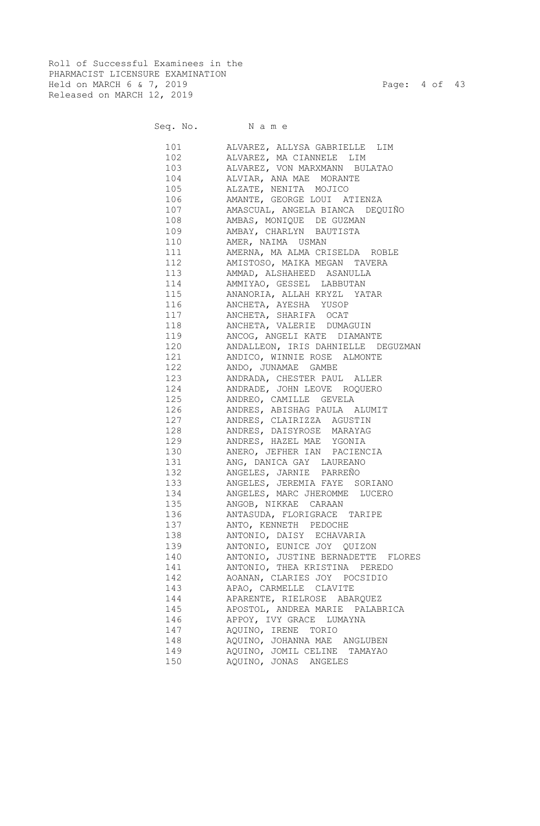Roll of Successful Examinees in the PHARMACIST LICENSURE EXAMINATION Held on MARCH 6 & 7, 2019 Page: 4 of 43 Released on MARCH 12, 2019

|     | Seq. No. Name                                                 |
|-----|---------------------------------------------------------------|
|     | 101 ALVAREZ, ALLYSA GABRIELLE LIM                             |
| 102 | ALVAREZ, MA CIANNELE LIM                                      |
| 103 | ALVAREZ, VON MARXMANN BULATAO                                 |
| 104 | ALVIAR, ANA MAE MORANTE                                       |
| 105 | ALZATE, NENITA MOJICO                                         |
| 106 | AMANTE, GEORGE LOUI ATIENZA                                   |
| 107 | AMASCUAL, ANGELA BIANCA DEQUIÑO                               |
| 108 | AMBAS, MONIQUE DE GUZMAN                                      |
| 109 | AMBAY, CHARLYN BAUTISTA                                       |
| 110 | AMER, NAIMA USMAN                                             |
| 111 | AMERNA, MA ALMA CRISELDA ROBLE                                |
|     | 112 AMISTOSO, MAIKA MEGAN TAVERA                              |
|     | 113 AMMAD, ALSHAHEED ASANULLA                                 |
|     | 114 AMMIYAO, GESSEL LABBUTAN                                  |
|     | 115 ANANORIA, ALLAH KRYZL YATAR                               |
|     | 116 ANCHETA, AYESHA YUSOP                                     |
|     | 117 ANCHETA, SHARIFA OCAT                                     |
|     | 118 ANCHETA, VALERIE DUMAGUIN                                 |
|     | 119 ANCOG, ANGELI KATE DIAMANTE                               |
|     | 120 ANDALLEON, IRIS DAHNIELLE DEGUZMAN                        |
|     | 121 ANDICO, WINNIE ROSE ALMONTE                               |
|     | 122 ANDO, JUNAMAE GAMBE                                       |
|     | 123 ANDRADA, CHESTER PAUL ALLER                               |
|     | 124 ANDRADE, JOHN LEOVE ROQUERO                               |
|     | 125 ANDREO, CAMILLE GEVELA                                    |
|     | 126 ANDRES, ABISHAG PAULA ALUMIT                              |
|     | 127 ANDRES, CLAIRIZZA AGUSTIN                                 |
|     | 128 ANDRES, DAISYROSE MARAYAG                                 |
|     | 129 ANDRES, HAZEL MAE YGONIA                                  |
|     | 130 ANERO, JEFHER IAN PACIENCIA                               |
|     | 131 ANG, DANICA GAY LAUREANO                                  |
|     | 132 ANGELES, JARNIE PARREÑO                                   |
|     | 133 ANGELES, JEREMIA FAYE SORIANO                             |
|     | 134 ANGELES, MARC JHEROMME LUCERO                             |
| 135 | ANGOB, NIKKAE CARAAN                                          |
| 136 | ANTASUDA, FLORIGRACE TARIPE                                   |
| 137 | ANTO, KENNETH PEDOCHE                                         |
| 138 | ANTONIO, DAISY ECHAVARIA                                      |
| 139 | ANTONIO, EUNICE JOY QUIZON                                    |
| 140 | ANTONIO, JUSTINE BERNADETTE FLORES                            |
| 141 |                                                               |
| 142 | ANTONIO, THEA KRISTINA PEREDO<br>AOANAN, CLARIES JOY POCSIDIO |
|     |                                                               |
| 143 | APAO, CARMELLE CLAVITE                                        |
| 144 | APARENTE, RIELROSE ABARQUEZ                                   |
| 145 | APOSTOL, ANDREA MARIE PALABRICA                               |
| 146 | APPOY, IVY GRACE LUMAYNA                                      |
| 147 | AQUINO, IRENE TORIO                                           |
| 148 | AQUINO, JOHANNA MAE ANGLUBEN                                  |

149 AQUINO, JOMIL CELINE TAMAYAO

150 AQUINO, JONAS ANGELES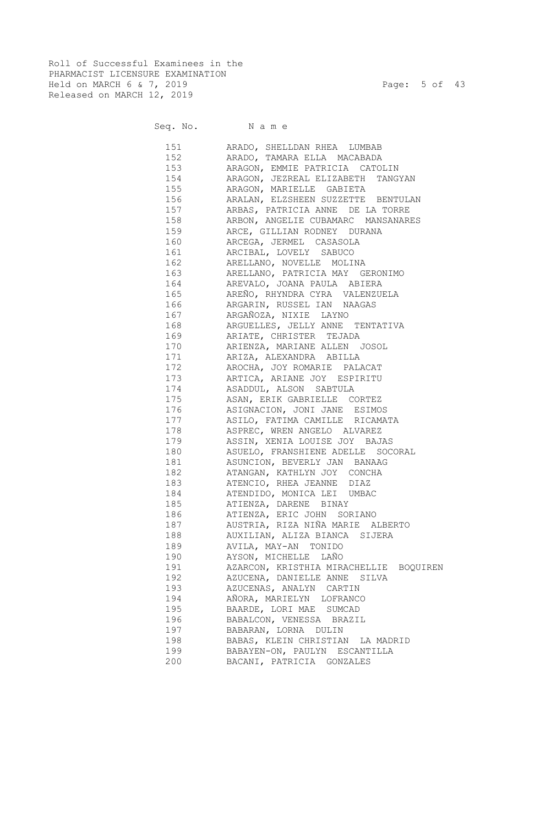Roll of Successful Examinees in the PHARMACIST LICENSURE EXAMINATION Held on MARCH 6 & 7, 2019 Page: 5 of 43 Released on MARCH 12, 2019

# Seq. No. Name

 151 ARADO, SHELLDAN RHEA LUMBAB 152 ARADO, TAMARA ELLA MACABADA 153 ARAGON, EMMIE PATRICIA CATOLIN 154 ARAGON, JEZREAL ELIZABETH TANGYAN 155 ARAGON, MARIELLE GABIETA 156 ARALAN, ELZSHEEN SUZZETTE BENTULAN 157 ARBAS, PATRICIA ANNE DE LA TORRE 158 ARBON, ANGELIE CUBAMARC MANSANARES 159 ARCE, GILLIAN RODNEY DURANA 160 ARCEGA, JERMEL CASASOLA 161 ARCIBAL, LOVELY SABUCO 162 ARELLANO, NOVELLE MOLINA 163 ARELLANO, PATRICIA MAY GERONIMO 164 AREVALO, JOANA PAULA ABIERA 165 AREÑO, RHYNDRA CYRA VALENZUELA 166 ARGARIN, RUSSEL IAN NAAGAS 167 ARGAÑOZA, NIXIE LAYNO 168 ARGUELLES, JELLY ANNE TENTATIVA 169 ARIATE, CHRISTER TEJADA 170 ARIENZA, MARIANE ALLEN JOSOL 171 ARIZA, ALEXANDRA ABILLA 172 AROCHA, JOY ROMARIE PALACAT 173 ARTICA, ARIANE JOY ESPIRITU 174 ASADDUL, ALSON SABTULA 175 ASAN, ERIK GABRIELLE CORTEZ 176 ASIGNACION, JONI JANE ESIMOS 177 ASILO, FATIMA CAMILLE RICAMATA 178 ASPREC, WREN ANGELO ALVAREZ 179 ASSIN, XENIA LOUISE JOY BAJAS 180 ASUELO, FRANSHIENE ADELLE SOCORAL 181 ASUNCION, BEVERLY JAN BANAAG 182 ATANGAN, KATHLYN JOY CONCHA 183 ATENCIO, RHEA JEANNE DIAZ 184 ATENDIDO, MONICA LEI UMBAC 185 ATIENZA, DARENE BINAY 186 ATIENZA, ERIC JOHN SORIANO 187 AUSTRIA, RIZA NIÑA MARIE ALBERTO 188 AUXILIAN, ALIZA BIANCA SIJERA 189 AVILA, MAY-AN TONIDO 190 AYSON, MICHELLE LAÑO 191 AZARCON, KRISTHIA MIRACHELLIE BOQUIREN 192 AZUCENA, DANIELLE ANNE SILVA 193 AZUCENAS, ANALYN CARTIN 194 AÑORA, MARIELYN LOFRANCO 195 BAARDE, LORI MAE SUMCAD 196 BABALCON, VENESSA BRAZIL 197 BABARAN, LORNA DULIN 198 BABAS, KLEIN CHRISTIAN LA MADRID 199 BABAYEN-ON, PAULYN ESCANTILLA 200 BACANI, PATRICIA GONZALES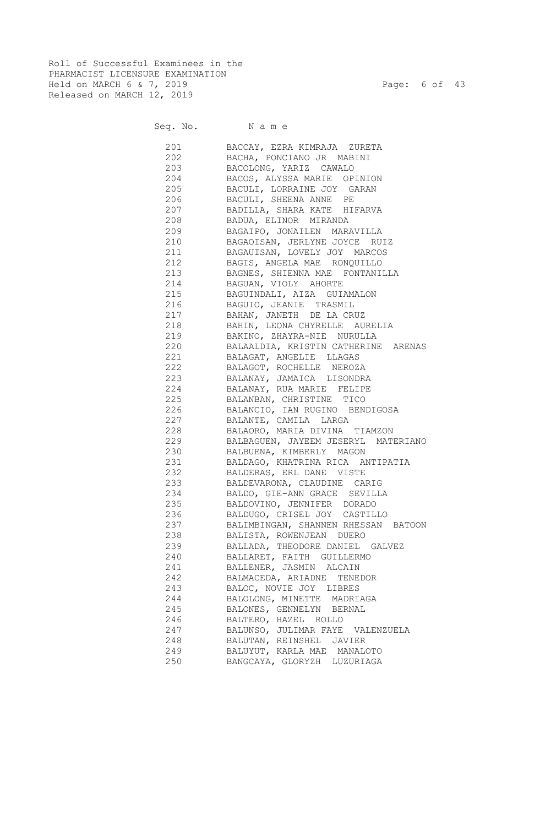Roll of Successful Examinees in the PHARMACIST LICENSURE EXAMINATION Held on MARCH 6 & 7, 2019 Page: 6 of 43 Released on MARCH 12, 2019

# Seq. No. Name

 201 BACCAY, EZRA KIMRAJA ZURETA 202 BACHA, PONCIANO JR MABINI 203 BACOLONG, YARIZ CAWALO 204 BACOS, ALYSSA MARIE OPINION 205 BACULI, LORRAINE JOY GARAN 206 BACULI, SHEENA ANNE PE 207 BADILLA, SHARA KATE HIFARVA 208 BADUA, ELINOR MIRANDA 209 BAGAIPO, JONAILEN MARAVILLA 210 BAGAOISAN, JERLYNE JOYCE RUIZ 211 BAGAUISAN, LOVELY JOY MARCOS 212 BAGIS, ANGELA MAE RONQUILLO 213 BAGNES, SHIENNA MAE FONTANILLA 214 BAGUAN, VIOLY AHORTE 215 BAGUINDALI, AIZA GUIAMALON 216 BAGUIO, JEANIE TRASMIL 217 BAHAN, JANETH DE LA CRUZ 218 BAHIN, LEONA CHYRELLE AURELIA 219 BAKINO, ZHAYRA-NIE NURULLA 220 BALAALDIA, KRISTIN CATHERINE ARENAS 221 BALAGAT, ANGELIE LLAGAS 222 BALAGOT, ROCHELLE NEROZA 223 BALANAY, JAMAICA LISONDRA 224 BALANAY, RUA MARIE FELIPE 225 BALANBAN, CHRISTINE TICO 226 BALANCIO, IAN RUGINO BENDIGOSA 227 BALANTE, CAMILA LARGA 228 BALAORO, MARIA DIVINA TIAMZON 229 BALBAGUEN, JAYEEM JESERYL MATERIANO 230 BALBUENA, KIMBERLY MAGON 231 BALDAGO, KHATRINA RICA ANTIPATIA 232 BALDERAS, ERL DANE VISTE 233 BALDEVARONA, CLAUDINE CARIG 234 BALDO, GIE-ANN GRACE SEVILLA 235 BALDOVINO, JENNIFER DORADO 236 BALDUGO, CRISEL JOY CASTILLO 237 BALIMBINGAN, SHANNEN RHESSAN BATOON 238 BALISTA, ROWENJEAN DUERO 239 BALLADA, THEODORE DANIEL GALVEZ 240 BALLARET, FAITH GUILLERMO 241 BALLENER, JASMIN ALCAIN 242 BALMACEDA, ARIADNE TENEDOR 243 BALOC, NOVIE JOY LIBRES 244 BALOLONG, MINETTE MADRIAGA 245 BALONES, GENNELYN BERNAL 246 BALTERO, HAZEL ROLLO 247 BALUNSO, JULIMAR FAYE VALENZUELA 248 BALUTAN, REINSHEL JAVIER 249 BALUYUT, KARLA MAE MANALOTO 250 BANGCAYA, GLORYZH LUZURIAGA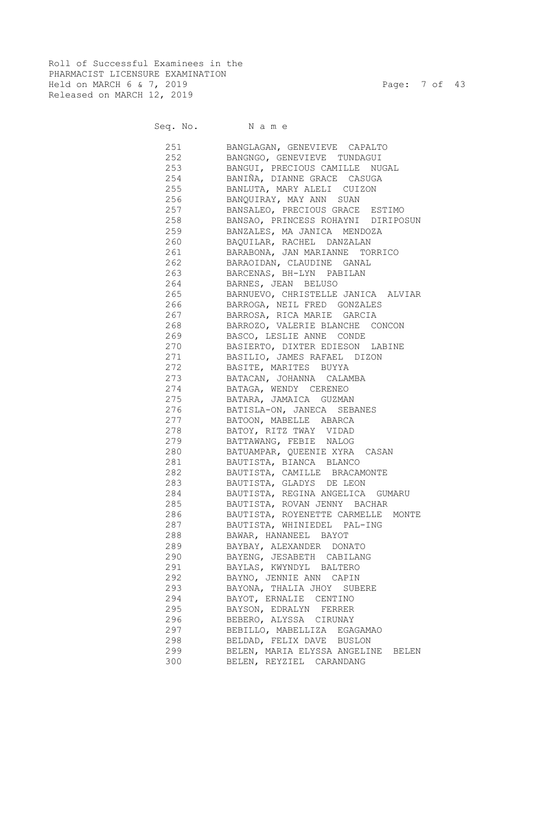Roll of Successful Examinees in the PHARMACIST LICENSURE EXAMINATION Held on MARCH 6 & 7, 2019 Page: 7 of 43 Released on MARCH 12, 2019

### Seq. No. Name

 251 BANGLAGAN, GENEVIEVE CAPALTO 252 BANGNGO, GENEVIEVE TUNDAGUI 253 BANGUI, PRECIOUS CAMILLE NUGAL 254 BANIÑA, DIANNE GRACE CASUGA 255 BANLUTA, MARY ALELI CUIZON 256 BANQUIRAY, MAY ANN SUAN 257 BANSALEO, PRECIOUS GRACE ESTIMO 258 BANSAO, PRINCESS ROHAYNI DIRIPOSUN 259 BANZALES, MA JANICA MENDOZA 260 BAQUILAR, RACHEL DANZALAN 261 BARABONA, JAN MARIANNE TORRICO 262 BARAOIDAN, CLAUDINE GANAL 263 BARCENAS, BH-LYN PABILAN 264 BARNES, JEAN BELUSO 265 BARNUEVO, CHRISTELLE JANICA ALVIAR 266 BARROGA, NEIL FRED GONZALES 267 BARROSA, RICA MARIE GARCIA 268 BARROZO, VALERIE BLANCHE CONCON 269 BASCO, LESLIE ANNE CONDE 270 BASIERTO, DIXTER EDIESON LABINE 271 BASILIO, JAMES RAFAEL DIZON 272 BASITE, MARITES BUYYA 273 BATACAN, JOHANNA CALAMBA 274 BATAGA, WENDY CERENEO 275 BATARA, JAMAICA GUZMAN 276 BATISLA-ON, JANECA SEBANES 277 BATOON, MABELLE ABARCA 278 BATOY, RITZ TWAY VIDAD 279 BATTAWANG, FEBIE NALOG 280 BATUAMPAR, QUEENIE XYRA CASAN 281 BAUTISTA, BIANCA BLANCO 282 BAUTISTA, CAMILLE BRACAMONTE 283 BAUTISTA, GLADYS DE LEON 284 BAUTISTA, REGINA ANGELICA GUMARU 285 BAUTISTA, ROVAN JENNY BACHAR 286 BAUTISTA, ROYENETTE CARMELLE MONTE 287 BAUTISTA, WHINIEDEL PAL-ING 288 BAWAR, HANANEEL BAYOT 289 BAYBAY, ALEXANDER DONATO 290 BAYENG, JESABETH CABILANG 291 BAYLAS, KWYNDYL BALTERO 292 BAYNO, JENNIE ANN CAPIN 293 BAYONA, THALIA JHOY SUBERE 294 BAYOT, ERNALIE CENTINO 295 BAYSON, EDRALYN FERRER 296 BEBERO, ALYSSA CIRUNAY 297 BEBILLO, MABELLIZA EGAGAMAO 298 BELDAD, FELIX DAVE BUSLON 299 BELEN, MARIA ELYSSA ANGELINE BELEN 300 BELEN, REYZIEL CARANDANG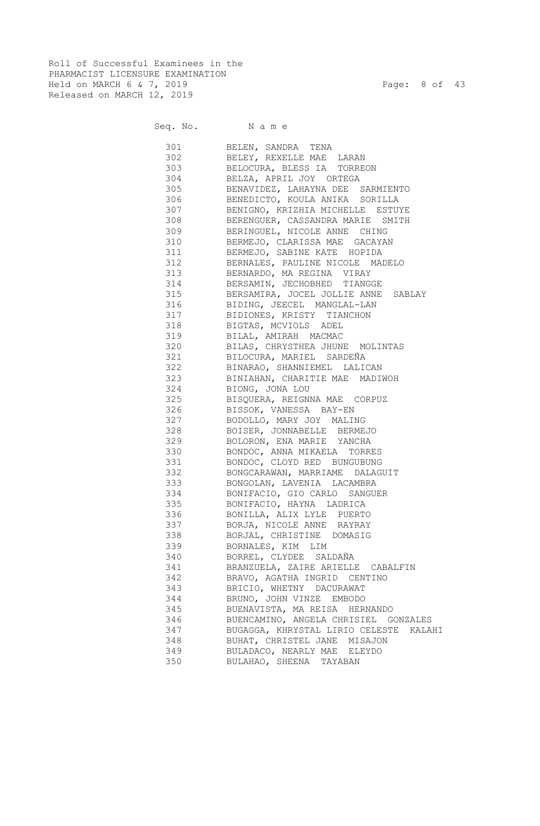Roll of Successful Examinees in the PHARMACIST LICENSURE EXAMINATION Held on MARCH 6 & 7, 2019 Page: 8 of 43 Released on MARCH 12, 2019

| Seq. No. Name |                                        |
|---------------|----------------------------------------|
|               | 301 BELEN, SANDRA TENA                 |
|               | 302 BELEY, REXELLE MAE LARAN           |
|               | 303 BELOCURA, BLESS IA TORREON         |
|               | 304 BELZA, APRIL JOY ORTEGA            |
|               | 305 BENAVIDEZ, LAHAYNA DEE SARMIENTO   |
| 306           | BENEDICTO, KOULA ANIKA SORILLA         |
| 307           | BENIGNO, KRIZHIA MICHELLE ESTUYE       |
| 308           | BERENGUER, CASSANDRA MARIE SMITH       |
| 309           | BERINGUEL, NICOLE ANNE CHING           |
| 310           | BERMEJO, CLARISSA MAE GACAYAN          |
| 311           | BERMEJO, SABINE KATE HOPIDA            |
| 312           | BERNALES, PAULINE NICOLE MADELO        |
| 313           | BERNARDO, MA REGINA VIRAY              |
| 314           | BERSAMIN, JECHOBHED TIANGGE            |
| 315           | BERSAMIRA, JOCEL JOLLIE ANNE SABLAY    |
| 316           | BIDING, JEECEL MANGLAL-LAN             |
| 317           | BIDIONES, KRISTY TIANCHON              |
| 318           | BIGTAS, MCVIOLS ADEL                   |
| 319           | BILAL, AMIRAH MACMAC                   |
| 320           | BILAS, CHRYSTHEA JHUNE MOLINTAS        |
| 321           | BILOCURA, MARIEL SARDEÑA               |
| 322           | BINARAO, SHANNIEMEL LALICAN            |
| 323           | BINIAHAN, CHARITIE MAE MADIWOH         |
| 324           | BIONG, JONA LOU                        |
| 325           | BISQUERA, REIGNNA MAE CORPUZ           |
| 326           | BISSOK, VANESSA BAY-EN                 |
| 327           | BODOLLO, MARY JOY MALING               |
| 328           | BOISER, JONNABELLE BERMEJO             |
| 329           | BOLORON, ENA MARIE YANCHA              |
| 330           | BONDOC, ANNA MIKAELA TORRES            |
| 331           | BONDOC, CLOYD RED BUNGUBUNG            |
| 332           | BONGCARAWAN, MARRIAME DALAGUIT         |
| 333           | BONGOLAN, LAVENIA LACAMBRA             |
| 334           | BONIFACIO, GIO CARLO SANGUER           |
| 335           | BONIFACIO, HAYNA LADRICA               |
| 336           | BONILLA, ALIX LYLE PUERTO              |
| 337           | BORJA, NICOLE ANNE RAYRAY              |
| 338           | BORJAL, CHRISTINE DOMASIG              |
| 339           | BORNALES, KIM LIM                      |
| 340           | BORREL, CLYDEE SALDAÑA                 |
| 341           | BRANZUELA, ZAIRE ARIELLE CABALFIN      |
| 342           | BRAVO, AGATHA INGRID CENTINO           |
| 343           | BRICIO, WHETNY DACURAWAT               |
| 344           | BRUNO, JOHN VINZE EMBODO               |
| 345           | BUENAVISTA, MA REISA HERNANDO          |
| 346           | BUENCAMINO, ANGELA CHRISIEL GONZALES   |
| 347           | BUGAGGA, KHRYSTAL LIRIO CELESTE KALAHI |
| 348           | BUHAT, CHRISTEL JANE MISAJON           |
| 349           | BULADACO, NEARLY MAE ELEYDO            |
| 350           | BULAHAO, SHEENA TAYABAN                |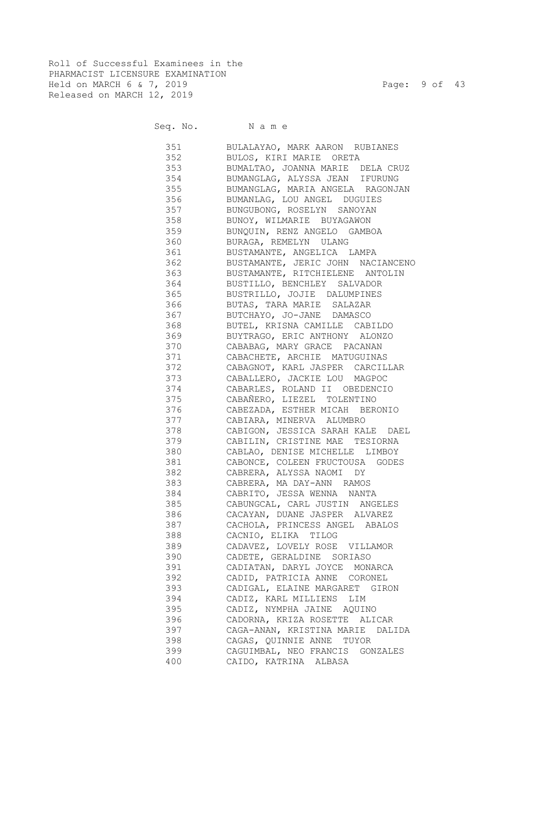Roll of Successful Examinees in the PHARMACIST LICENSURE EXAMINATION Held on MARCH 6 & 7, 2019 Page: 9 of 43 Released on MARCH 12, 2019

# Seq. No. Name

 351 BULALAYAO, MARK AARON RUBIANES 352 BULOS, KIRI MARIE ORETA 353 BUMALTAO, JOANNA MARIE DELA CRUZ 354 BUMANGLAG, ALYSSA JEAN IFURUNG 355 BUMANGLAG, MARIA ANGELA RAGONJAN 356 BUMANLAG, LOU ANGEL DUGUIES 357 BUNGUBONG, ROSELYN SANOYAN 358 BUNOY, WILMARIE BUYAGAWON 359 BUNQUIN, RENZ ANGELO GAMBOA 360 BURAGA, REMELYN ULANG 361 BUSTAMANTE, ANGELICA LAMPA 362 BUSTAMANTE, JERIC JOHN NACIANCENO 363 BUSTAMANTE, RITCHIELENE ANTOLIN 364 BUSTILLO, BENCHLEY SALVADOR 365 BUSTRILLO, JOJIE DALUMPINES 366 BUTAS, TARA MARIE SALAZAR 367 BUTCHAYO, JO-JANE DAMASCO 368 BUTEL, KRISNA CAMILLE CABILDO 369 BUYTRAGO, ERIC ANTHONY ALONZO 370 CABABAG, MARY GRACE PACANAN 371 CABACHETE, ARCHIE MATUGUINAS 372 CABAGNOT, KARL JASPER CARCILLAR 373 CABALLERO, JACKIE LOU MAGPOC 374 CABARLES, ROLAND II OBEDENCIO 375 CABAÑERO, LIEZEL TOLENTINO 376 CABEZADA, ESTHER MICAH BERONIO 377 CABIARA, MINERVA ALUMBRO 378 CABIGON, JESSICA SARAH KALE DAEL 379 CABILIN, CRISTINE MAE TESIORNA 380 CABLAO, DENISE MICHELLE LIMBOY 381 CABONCE, COLEEN FRUCTOUSA GODES 382 CABRERA, ALYSSA NAOMI DY 383 CABRERA, MA DAY-ANN RAMOS 384 CABRITO, JESSA WENNA NANTA 385 CABUNGCAL, CARL JUSTIN ANGELES 386 CACAYAN, DUANE JASPER ALVAREZ 387 CACHOLA, PRINCESS ANGEL ABALOS 388 CACNIO, ELIKA TILOG 389 CADAVEZ, LOVELY ROSE VILLAMOR 390 CADETE, GERALDINE SORIASO 391 CADIATAN, DARYL JOYCE MONARCA 392 CADID, PATRICIA ANNE CORONEL 393 CADIGAL, ELAINE MARGARET GIRON 394 CADIZ, KARL MILLIENS LIM 395 CADIZ, NYMPHA JAINE AQUINO 396 CADORNA, KRIZA ROSETTE ALICAR 397 CAGA-ANAN, KRISTINA MARIE DALIDA 398 CAGAS, QUINNIE ANNE TUYOR 399 CAGUIMBAL, NEO FRANCIS GONZALES 400 CAIDO, KATRINA ALBASA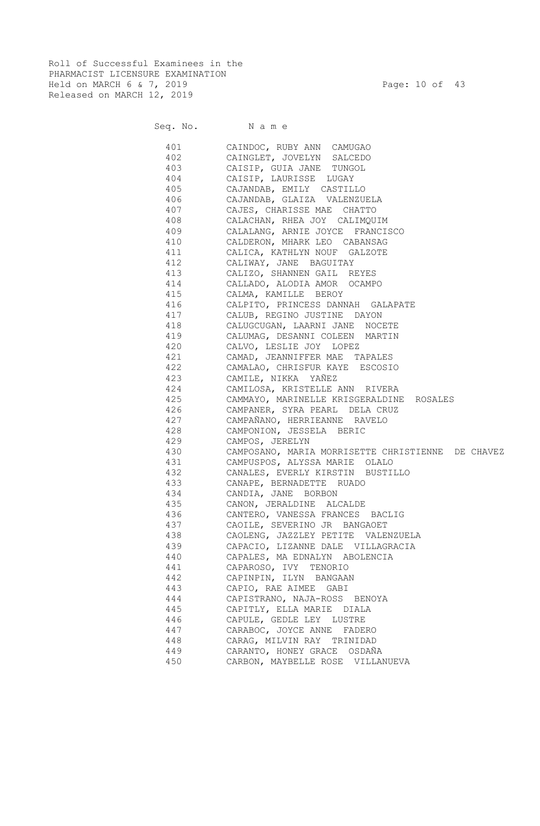Roll of Successful Examinees in the PHARMACIST LICENSURE EXAMINATION Held on MARCH 6 & 7, 2019 Page: 10 of 43 Released on MARCH 12, 2019

|     | Seq. No. Name                                     |
|-----|---------------------------------------------------|
|     | 401 CAINDOC, RUBY ANN CAMUGAO                     |
|     | 402 CAINGLET, JOVELYN SALCEDO                     |
|     | 403 CAISIP, GUIA JANE TUNGOL                      |
|     | 404 CAISIP, LAURISSE LUGAY                        |
|     | 405 CAJANDAB, EMILY CASTILLO                      |
|     | 406 CAJANDAB, GLAIZA VALENZUELA                   |
|     | 407 CAJES, CHARISSE MAE CHATTO                    |
|     | 408 CALACHAN, RHEA JOY CALIMQUIM                  |
|     | 409 CALALANG, ARNIE JOYCE FRANCISCO               |
|     | 410 CALDERON, MHARK LEO CABANSAG                  |
|     | 411 CALICA, KATHLYN NOUF GALZOTE                  |
| 412 | CALIWAY, JANE BAGUITAY                            |
| 413 | CALIZO, SHANNEN GAIL REYES                        |
| 414 | CALLADO, ALODIA AMOR OCAMPO                       |
| 415 | CALMA, KAMILLE BEROY                              |
| 416 | CALPITO, PRINCESS DANNAH GALAPATE                 |
| 417 | CALUB, REGINO JUSTINE DAYON                       |
| 418 | CALUGCUGAN, LAARNI JANE NOCETE                    |
| 419 | CALUMAG, DESANNI COLEEN MARTIN                    |
| 420 | CALVO, LESLIE JOY LOPEZ                           |
| 421 | CAMAD, JEANNIFFER MAE TAPALES                     |
| 422 | CAMALAO, CHRISFUR KAYE ESCOSIO                    |
| 423 | CAMILE, NIKKA YAÑEZ                               |
| 424 | CAMILOSA, KRISTELLE ANN RIVERA                    |
| 425 | CAMMAYO, MARINELLE KRISGERALDINE ROSALES          |
| 426 | CAMPANER, SYRA PEARL DELA CRUZ                    |
| 427 | CAMPAÑANO, HERRIEANNE RAVELO                      |
| 428 | CAMPONION, JESSELA BERIC                          |
| 429 | CAMPOS, JERELYN                                   |
| 430 | CAMPOSANO, MARIA MORRISETTE CHRISTIENNE DE CHAVEZ |
| 431 | CAMPUSPOS, ALYSSA MARIE OLALO                     |
| 432 | CANALES, EVERLY KIRSTIN BUSTILLO                  |
| 433 | CANAPE, BERNADETTE RUADO                          |
| 434 | CANDIA, JANE BORBON                               |
| 435 | CANON, JERALDINE ALCALDE                          |
| 436 | CANTERO, VANESSA FRANCES BACLIG                   |
| 437 | CAOILE, SEVERINO JR BANGAOET                      |
| 438 | CAOLENG, JAZZLEY PETITE VALENZUELA                |
| 439 | CAPACIO, LIZANNE DALE VILLAGRACIA                 |
| 440 | CAPALES, MA EDNALYN ABOLENCIA                     |
| 441 | CAPAROSO, IVY TENORIO                             |
| 442 | CAPINPIN, ILYN BANGAAN                            |
| 443 | CAPIO, RAE AIMEE GABI                             |
| 444 | CAPISTRANO, NAJA-ROSS BENOYA                      |
| 445 | CAPITLY, ELLA MARIE DIALA                         |
| 446 | CAPULE, GEDLE LEY LUSTRE                          |
| 447 | CARABOC, JOYCE ANNE FADERO                        |
| 448 | CARAG, MILVIN RAY TRINIDAD                        |
| 449 | CARANTO, HONEY GRACE OSDAÑA                       |
| 450 | CARBON, MAYBELLE ROSE VILLANUEVA                  |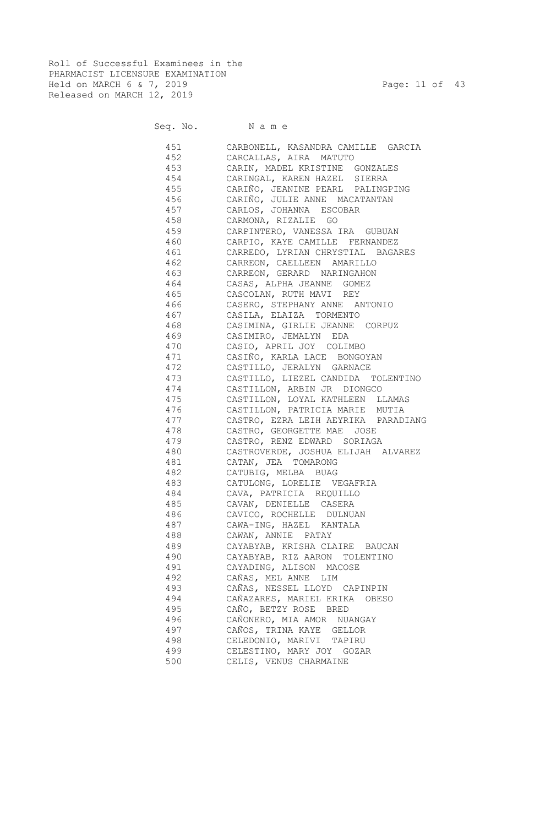Roll of Successful Examinees in the PHARMACIST LICENSURE EXAMINATION Held on MARCH 6 & 7, 2019 Page: 11 of 43 Released on MARCH 12, 2019

# Seq. No. Name

|     | 451 CARBONELL, KASANDRA CAMILLE GARCIA  |
|-----|-----------------------------------------|
|     | 452 CARCALLAS, AIRA MATUTO              |
|     | 453 CARIN, MADEL KRISTINE GONZALES      |
|     | 454 CARINGAL, KAREN HAZEL SIERRA        |
|     | 455 CARIÑO, JEANINE PEARL PALINGPING    |
|     | 456 CARIÑO, JULIE ANNE MACATANTAN       |
|     | 457 CARLOS, JOHANNA ESCOBAR             |
|     | 458 CARMONA, RIZALIE GO                 |
|     | 459 CARPINTERO, VANESSA IRA GUBUAN      |
|     | 460 CARPIO, KAYE CAMILLE FERNANDEZ      |
|     | 461 CARREDO, LYRIAN CHRYSTIAL BAGARES   |
|     | 462 CARREON, CAELLEEN AMARILLO          |
|     | 463 CARREON, GERARD NARINGAHON          |
|     | 464 CASAS, ALPHA JEANNE GOMEZ           |
|     | 465 CASCOLAN, RUTH MAVI REY             |
|     | 466 CASERO, STEPHANY ANNE ANTONIO       |
|     | 467 CASILA, ELAIZA TORMENTO             |
|     | 468 CASIMINA, GIRLIE JEANNE CORPUZ      |
|     | 469 CASIMIRO, JEMALYN EDA               |
|     | 470 CASIO, APRIL JOY COLIMBO            |
|     |                                         |
|     | 472 CASTILLO, JERALYN GARNACE           |
|     | 473 CASTILLO, LIEZEL CANDIDA TOLENTINO  |
|     | 474 CASTILLON, ARBIN JR DIONGCO         |
|     | 475 CASTILLON, LOYAL KATHLEEN LLAMAS    |
|     | 476 CASTILLON, PATRICIA MARIE MUTIA     |
|     | 477 CASTRO, EZRA LEIH AEYRIKA PARADIANG |
|     | 478 CASTRO, GEORGETTE MAE JOSE          |
|     | 479 CASTRO, RENZ EDWARD SORIAGA         |
|     | 480 CASTROVERDE, JOSHUA ELIJAH ALVAREZ  |
|     | 481 CATAN, JEA TOMARONG                 |
|     | 482 CATUBIG, MELBA BUAG                 |
|     | 483 CATULONG, LORELIE VEGAFRIA          |
|     | 484 CAVA, PATRICIA REQUILLO             |
|     | 485 CAVAN, DENIELLE CASERA              |
| 486 | CAVICO, ROCHELLE DULNUAN                |
| 487 | CAWA-ING, HAZEL KANTALA                 |
| 488 | CAWAN, ANNIE PATAY                      |
| 489 | CAYABYAB, KRISHA CLAIRE BAUCAN          |
| 490 | CAYABYAB, RIZ AARON TOLENTINO           |
| 491 | CAYADING, ALISON MACOSE                 |
| 492 | CAÑAS, MEL ANNE LIM                     |
| 493 | CAÑAS, NESSEL LLOYD CAPINPIN            |
| 494 | CAÑAZARES, MARIEL ERIKA OBESO           |
| 495 | CAÑO, BETZY ROSE BRED                   |
| 496 | CAÑONERO, MIA AMOR NUANGAY              |
| 497 | CAÑOS, TRINA KAYE GELLOR                |
| 498 | CELEDONIO, MARIVI TAPIRU                |
| 499 | CELESTINO, MARY JOY GOZAR               |
| 500 | CELIS, VENUS CHARMAINE                  |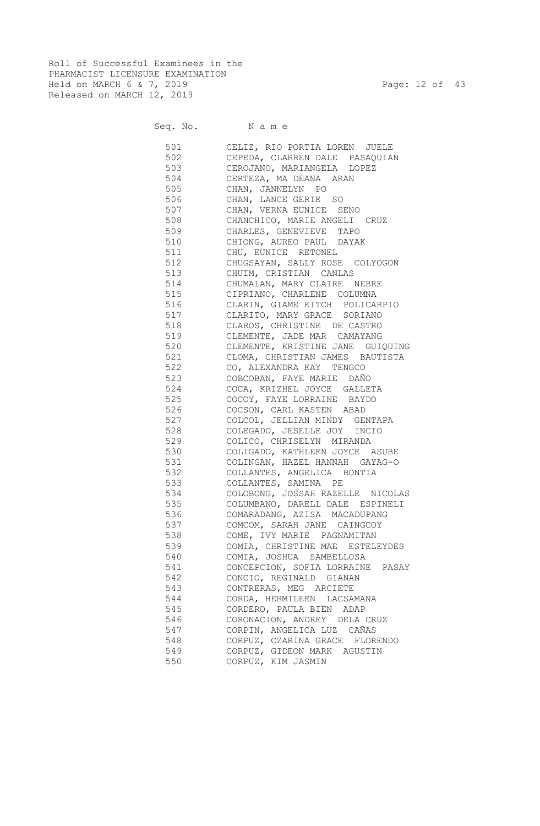Roll of Successful Examinees in the PHARMACIST LICENSURE EXAMINATION Held on MARCH 6 & 7, 2019 Page: 12 of 43 Released on MARCH 12, 2019

#### Seq. No. Name

 501 CELIZ, RIO PORTIA LOREN JUELE 502 CEPEDA, CLARREN DALE PASAQUIAN 503 CEROJANO, MARIANGELA LOPEZ 504 CERTEZA, MA DEANA ARAN 505 CHAN, JANNELYN PO 506 CHAN, LANCE GERIK SO 507 CHAN, VERNA EUNICE SENO 508 CHANCHICO, MARIE ANGELI CRUZ 509 CHARLES, GENEVIEVE TAPO 510 CHIONG, AUREO PAUL DAYAK 511 CHU, EUNICE RETONEL 512 CHUGSAYAN, SALLY ROSE COLYOGON 513 CHUIM, CRISTIAN CANLAS 514 CHUMALAN, MARY CLAIRE NEBRE 515 CIPRIANO, CHARLENE COLUMNA 516 CLARIN, GIAME KITCH POLICARPIO 517 CLARITO, MARY GRACE SORIANO 518 CLAROS, CHRISTINE DE CASTRO 519 CLEMENTE, JADE MAR CAMAYANG 520 CLEMENTE, KRISTINE JANE GUIQUING 521 CLOMA, CHRISTIAN JAMES BAUTISTA 522 CO, ALEXANDRA KAY TENGCO 523 COBCOBAN, FAYE MARIE DAÑO 524 COCA, KRIZHEL JOYCE GALLETA 525 COCOY, FAYE LORRAINE BAYDO 526 COCSON, CARL KASTEN ABAD 527 COLCOL, JELLIAN MINDY GENTAPA 528 COLEGADO, JESELLE JOY INCIO 529 COLICO, CHRISELYN MIRANDA 530 COLIGADO, KATHLEEN JOYCE ASUBE 531 COLINGAN, HAZEL HANNAH GAYAG-O 532 COLLANTES, ANGELICA BONTIA 533 COLLANTES, SAMINA PE 534 COLOBONG, JOSSAH RAZELLE NICOLAS 535 COLUMBANO, DARELL DALE ESPINELI 536 COMARADANG, AZISA MACADUPANG 537 COMCOM, SARAH JANE CAINGCOY 538 COME, IVY MARIE PAGNAMITAN 539 COMIA, CHRISTINE MAE ESTELEYDES 540 COMIA, JOSHUA SAMBELLOSA 541 CONCEPCION, SOFIA LORRAINE PASAY 542 CONCIO, REGINALD GIANAN 543 CONTRERAS, MEG ARCIETE 544 CORDA, HERMILEEN LACSAMANA 545 CORDERO, PAULA BIEN ADAP 546 CORONACION, ANDREY DELA CRUZ 547 CORPIN, ANGELICA LUZ CAÑAS 548 CORPUZ, CZARINA GRACE FLORENDO 549 CORPUZ, GIDEON MARK AGUSTIN 550 CORPUZ, KIM JASMIN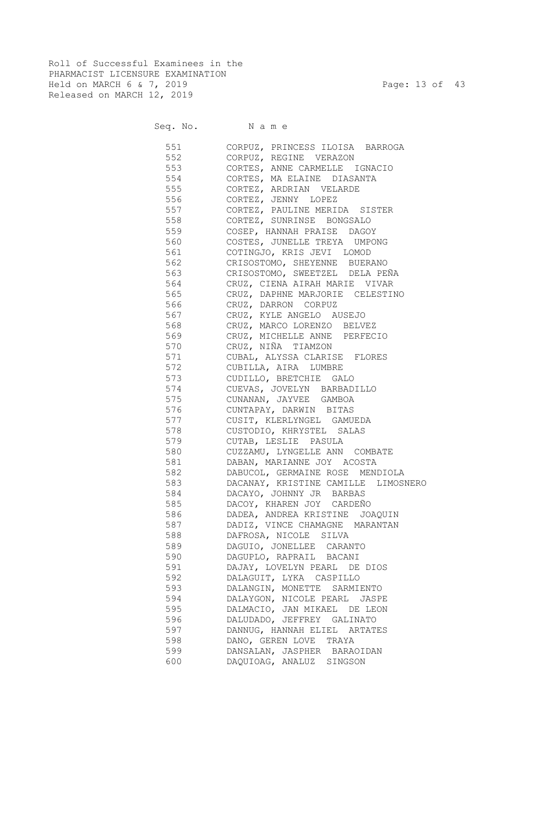Roll of Successful Examinees in the PHARMACIST LICENSURE EXAMINATION Held on MARCH 6 & 7, 2019 Page: 13 of 43 Released on MARCH 12, 2019

| Seq. No. |  |  | Name |  |
|----------|--|--|------|--|
|----------|--|--|------|--|

| 551   | CORPUZ, PRINCESS ILOISA BARROGA     |
|-------|-------------------------------------|
| 552   | CORPUZ, REGINE VERAZON              |
| 553   | CORTES, ANNE CARMELLE IGNACIO       |
| 554   | CORTES, MA ELAINE DIASANTA          |
| 555   | CORTEZ, ARDRIAN VELARDE             |
| 556   |                                     |
|       | CORTEZ, JENNY LOPEZ                 |
| 557   | CORTEZ, PAULINE MERIDA SISTER       |
| 558   | CORTEZ, SUNRINSE BONGSALO           |
| 559   | COSEP, HANNAH PRAISE DAGOY          |
| 560   | COSTES, JUNELLE TREYA UMPONG        |
| 561   | COTINGJO, KRIS JEVI LOMOD           |
| 562   | CRISOSTOMO, SHEYENNE BUERANO        |
| 563   | CRISOSTOMO, SWEETZEL DELA PEÑA      |
| 564   | CRUZ, CIENA AIRAH MARIE VIVAR       |
| 565   | CRUZ, DAPHNE MARJORIE CELESTINO     |
| 566   | CRUZ, DARRON CORPUZ                 |
| 567   | CRUZ, KYLE ANGELO AUSEJO            |
| 568   | CRUZ, MARCO LORENZO BELVEZ          |
| 569   | CRUZ, MICHELLE ANNE PERFECIO        |
| 570   | CRUZ, NIÑA TIAMZON                  |
| 571   | CUBAL, ALYSSA CLARISE FLORES        |
| 572   | CUBILLA, AIRA LUMBRE                |
| 573   | CUDILLO, BRETCHIE GALO              |
| 574   | CUEVAS, JOVELYN BARBADILLO          |
| 575   | CUNANAN, JAYVEE GAMBOA              |
| 576   | CUNTAPAY, DARWIN BITAS              |
| 577   | CUSIT, KLERLYNGEL GAMUEDA           |
| 578   | CUSTODIO, KHRYSTEL SALAS            |
| 579   | CUTAB, LESLIE PASULA                |
| 580   | CUZZAMU, LYNGELLE ANN COMBATE       |
| 581   | DABAN, MARIANNE JOY ACOSTA          |
| 582   | DABUCOL, GERMAINE ROSE MENDIOLA     |
| 583   | DACANAY, KRISTINE CAMILLE LIMOSNERO |
| 584   | DACAYO, JOHNNY JR BARBAS            |
|       | 585 DACOY, KHAREN JOY CARDEÑO       |
| 586 1 | DADEA, ANDREA KRISTINE JOAQUIN      |
| 587   | DADIZ, VINCE CHAMAGNE MARANTAN      |
|       |                                     |
| 588   | DAFROSA, NICOLE<br>SILVA            |
| 589   | DAGUIO, JONELLEE CARANTO            |
| 590   | DAGUPLO, RAPRAIL BACANI             |
| 591   | DAJAY, LOVELYN PEARL DE DIOS        |
| 592   | DALAGUIT, LYKA CASPILLO             |
| 593   | DALANGIN, MONETTE SARMIENTO         |
| 594   | DALAYGON, NICOLE PEARL JASPE        |
| 595   | DALMACIO, JAN MIKAEL DE LEON        |
| 596   | DALUDADO, JEFFREY GALINATO          |
| 597   | DANNUG, HANNAH ELIEL ARTATES        |
| 598   | DANO, GEREN LOVE<br>TRAYA           |
| 599   | DANSALAN, JASPHER BARAOIDAN         |
| 600   | DAQUIOAG, ANALUZ SINGSON            |
|       |                                     |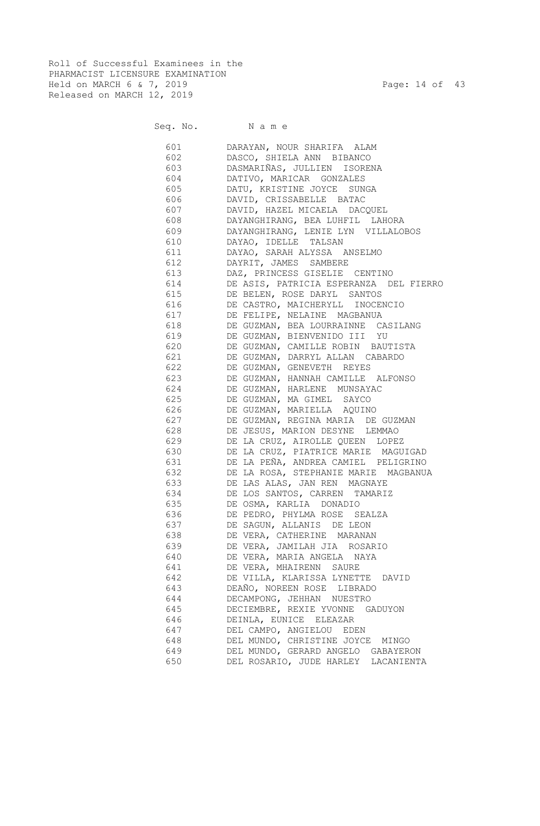Roll of Successful Examinees in the PHARMACIST LICENSURE EXAMINATION Held on MARCH 6 & 7, 2019 Page: 14 of 43 Released on MARCH 12, 2019

Seq. No. Name

 601 DARAYAN, NOUR SHARIFA ALAM 602 DASCO, SHIELA ANN BIBANCO 603 DASMARIÑAS, JULLIEN ISORENA 604 DATIVO, MARICAR GONZALES 605 DATU, KRISTINE JOYCE SUNGA 606 DAVID, CRISSABELLE BATAC 607 DAVID, HAZEL MICAELA DACQUEL 608 DAYANGHIRANG, BEA LUHFIL LAHORA 609 DAYANGHIRANG, LENIE LYN VILLALOBOS 610 DAYAO, IDELLE TALSAN 611 DAYAO, SARAH ALYSSA ANSELMO 612 DAYRIT, JAMES SAMBERE 613 DAZ, PRINCESS GISELIE CENTINO 614 DE ASIS, PATRICIA ESPERANZA DEL FIERRO 615 DE BELEN, ROSE DARYL SANTOS 616 DE CASTRO, MAICHERYLL INOCENCIO 617 DE FELIPE, NELAINE MAGBANUA 618 DE GUZMAN, BEA LOURRAINNE CASILANG 619 DE GUZMAN, BIENVENIDO III YU 620 DE GUZMAN, CAMILLE ROBIN BAUTISTA 621 DE GUZMAN, DARRYL ALLAN CABARDO 622 DE GUZMAN, GENEVETH REYES 623 DE GUZMAN, HANNAH CAMILLE ALFONSO 624 DE GUZMAN, HARLENE MUNSAYAC 625 DE GUZMAN, MA GIMEL SAYCO 626 DE GUZMAN, MARIELLA AQUINO 627 DE GUZMAN, REGINA MARIA DE GUZMAN 628 DE JESUS, MARION DESYNE LEMMAO 629 DE LA CRUZ, AIROLLE QUEEN LOPEZ 630 DE LA CRUZ, PIATRICE MARIE MAGUIGAD 631 DE LA PEÑA, ANDREA CAMIEL PELIGRINO 632 DE LA ROSA, STEPHANIE MARIE MAGBANUA 633 DE LAS ALAS, JAN REN MAGNAYE 634 DE LOS SANTOS, CARREN TAMARIZ 635 DE OSMA, KARLIA DONADIO 636 DE PEDRO, PHYLMA ROSE SEALZA 637 DE SAGUN, ALLANIS DE LEON 638 DE VERA, CATHERINE MARANAN 639 DE VERA, JAMILAH JIA ROSARIO 640 DE VERA, MARIA ANGELA NAYA 641 DE VERA, MHAIRENN SAURE 642 DE VILLA, KLARISSA LYNETTE DAVID 643 DEAÑO, NOREEN ROSE LIBRADO 644 DECAMPONG, JEHHAN NUESTRO 645 DECIEMBRE, REXIE YVONNE GADUYON 646 DEINLA, EUNICE ELEAZAR 647 DEL CAMPO, ANGIELOU EDEN 648 DEL MUNDO, CHRISTINE JOYCE MINGO 649 DEL MUNDO, GERARD ANGELO GABAYERON 650 DEL ROSARIO, JUDE HARLEY LACANIENTA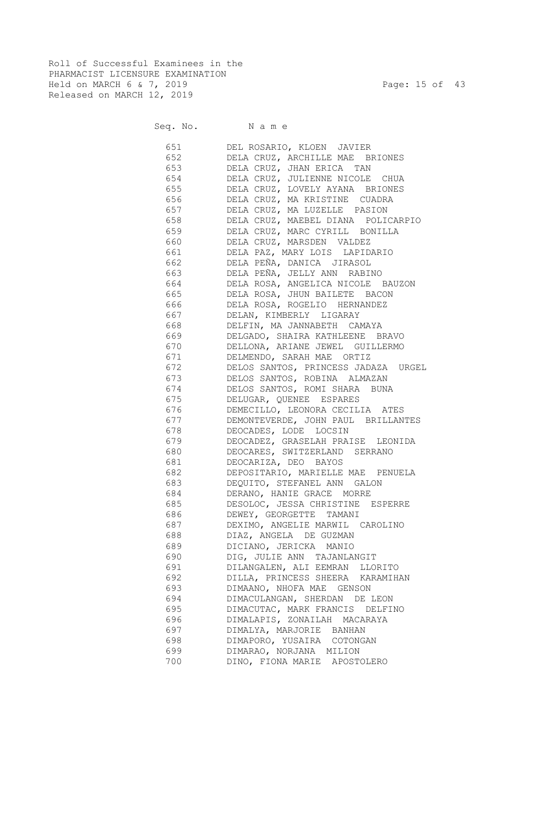Roll of Successful Examinees in the PHARMACIST LICENSURE EXAMINATION Held on MARCH 6 & 7, 2019 Page: 15 of 43 Released on MARCH 12, 2019

Seq. No. Name

|     | 651 DEL ROSARIO, KLOEN JAVIER          |
|-----|----------------------------------------|
|     | 652 DELA CRUZ, ARCHILLE MAE BRIONES    |
|     | 653 DELA CRUZ, JHAN ERICA TAN          |
|     | 654 DELA CRUZ, JULIENNE NICOLE CHUA    |
|     | 655 DELA CRUZ, LOVELY AYANA BRIONES    |
|     | 656 DELA CRUZ, MA KRISTINE CUADRA      |
|     | 657 DELA CRUZ, MA LUZELLE PASION       |
|     | 658 DELA CRUZ, MAEBEL DIANA POLICARPIO |
|     | 659 DELA CRUZ, MARC CYRILL BONILLA     |
|     |                                        |
|     | 660 DELA CRUZ, MARSDEN VALDEZ          |
|     | 661 DELA PAZ, MARY LOIS LAPIDARIO      |
| 662 | DELA PEÑA, DANICA JIRASOL              |
| 663 | DELA PEÑA, JELLY ANN RABINO            |
| 664 | DELA ROSA, ANGELICA NICOLE BAUZON      |
| 665 | DELA ROSA, JHUN BAILETE BACON          |
| 666 | DELA ROSA, ROGELIO HERNANDEZ           |
| 667 | DELAN, KIMBERLY LIGARAY                |
| 668 | DELFIN, MA JANNABETH CAMAYA            |
| 669 | DELGADO, SHAIRA KATHLEENE BRAVO        |
| 670 | DELLONA, ARIANE JEWEL GUILLERMO        |
| 671 | DELMENDO, SARAH MAE ORTIZ              |
| 672 | DELOS SANTOS, PRINCESS JADAZA URGEL    |
| 673 | DELOS SANTOS, ROBINA ALMAZAN           |
| 674 | DELOS SANTOS, ROMI SHARA BUNA          |
| 675 | DELUGAR, QUENEE ESPARES                |
| 676 | DEMECILLO, LEONORA CECILIA ATES        |
| 677 | DEMONTEVERDE, JOHN PAUL BRILLANTES     |
| 678 | DEOCADES, LODE LOCSIN                  |
| 679 | DEOCADEZ, GRASELAH PRAISE LEONIDA      |
| 680 | DEOCARES, SWITZERLAND SERRANO          |
| 681 | DEOCARIZA, DEO BAYOS                   |
| 682 | DEPOSITARIO, MARIELLE MAE PENUELA      |
| 683 | DEQUITO, STEFANEL ANN GALON            |
| 684 | DERANO, HANIE GRACE MORRE              |
| 685 | DESOLOC, JESSA CHRISTINE ESPERRE       |
| 686 | DEWEY, GEORGETTE TAMANI                |
| 687 | DEXIMO, ANGELIE MARWIL CAROLINO        |
| 688 | DIAZ, ANGELA DE GUZMAN                 |
| 689 | DICIANO, JERICKA MANIO                 |
| 690 | DIG, JULIE ANN TAJANLANGIT             |
| 691 | DILANGALEN, ALI EEMRAN LLORITO         |
| 692 | DILLA, PRINCESS SHEERA KARAMIHAN       |
| 693 | DIMAANO, NHOFA MAE GENSON              |
| 694 | DIMACULANGAN, SHERDAN DE LEON          |
| 695 | DIMACUTAC, MARK FRANCIS DELFINO        |
| 696 | DIMALAPIS, ZONAILAH MACARAYA           |
| 697 | DIMALYA, MARJORIE BANHAN               |
| 698 | DIMAPORO, YUSAIRA COTONGAN             |
| 699 | DIMARAO, NORJANA MILION                |
| 700 | DINO, FIONA MARIE APOSTOLERO           |
|     |                                        |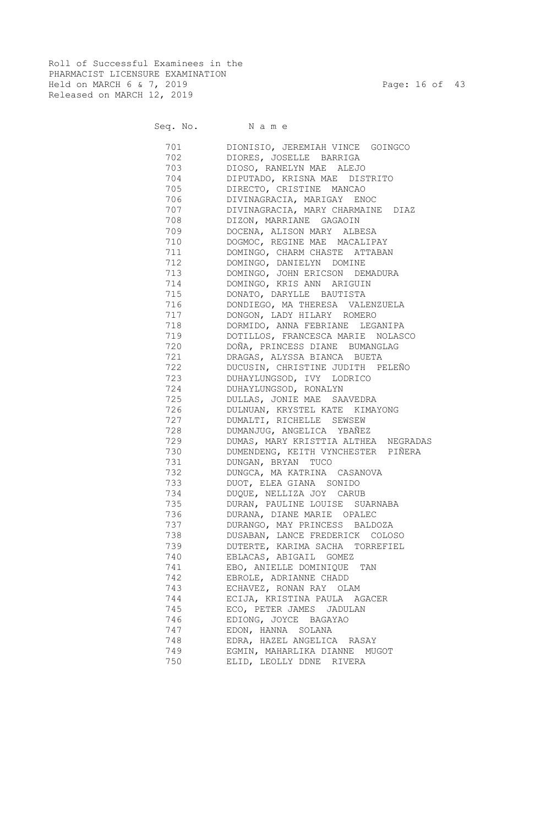Roll of Successful Examinees in the PHARMACIST LICENSURE EXAMINATION Held on MARCH 6 & 7, 2019 Page: 16 of 43 Released on MARCH 12, 2019

Seq. No. Name

 701 DIONISIO, JEREMIAH VINCE GOINGCO 702 DIORES, JOSELLE BARRIGA 703 DIOSO, RANELYN MAE ALEJO 704 DIPUTADO, KRISNA MAE DISTRITO 705 DIRECTO, CRISTINE MANCAO 706 DIVINAGRACIA, MARIGAY ENOC 707 DIVINAGRACIA, MARY CHARMAINE DIAZ 708 DIZON, MARRIANE GAGAOIN 709 DOCENA, ALISON MARY ALBESA 710 DOGMOC, REGINE MAE MACALIPAY 711 DOMINGO, CHARM CHASTE ATTABAN 712 DOMINGO, DANIELYN DOMINE 713 DOMINGO, JOHN ERICSON DEMADURA 714 DOMINGO, KRIS ANN ARIGUIN 715 DONATO, DARYLLE BAUTISTA 716 DONDIEGO, MA THERESA VALENZUELA 717 DONGON, LADY HILARY ROMERO 718 DORMIDO, ANNA FEBRIANE LEGANIPA 719 DOTILLOS, FRANCESCA MARIE NOLASCO 720 DOÑA, PRINCESS DIANE BUMANGLAG 721 DRAGAS, ALYSSA BIANCA BUETA 722 DUCUSIN, CHRISTINE JUDITH PELEÑO 723 DUHAYLUNGSOD, IVY LODRICO 724 DUHAYLUNGSOD, RONALYN 725 DULLAS, JONIE MAE SAAVEDRA 726 DULNUAN, KRYSTEL KATE KIMAYONG 727 DUMALTI, RICHELLE SEWSEW 728 DUMANJUG, ANGELICA YBAÑEZ 729 DUMAS, MARY KRISTTIA ALTHEA NEGRADAS 730 DUMENDENG, KEITH VYNCHESTER PIÑERA 731 DUNGAN, BRYAN TUCO 732 DUNGCA, MA KATRINA CASANOVA<br>733 DUOT, ELEA GIANA SONIDO 733 DUOT, ELEA GIANA SONIDO 734 DUQUE, NELLIZA JOY CARUB 735 DURAN, PAULINE LOUISE SUARNABA 736 DURANA, DIANE MARIE OPALEC 737 DURANGO, MAY PRINCESS BALDOZA 738 DUSABAN, LANCE FREDERICK COLOSO 739 DUTERTE, KARIMA SACHA TORREFIEL 740 EBLACAS, ABIGAIL GOMEZ 741 EBO, ANIELLE DOMINIQUE TAN 742 EBROLE, ADRIANNE CHADD 743 ECHAVEZ, RONAN RAY OLAM 744 ECIJA, KRISTINA PAULA AGACER 745 ECO, PETER JAMES JADULAN 746 EDIONG, JOYCE BAGAYAO 747 EDON, HANNA SOLANA 748 EDRA, HAZEL ANGELICA RASAY 749 EGMIN, MAHARLIKA DIANNE MUGOT 750 ELID, LEOLLY DDNE RIVERA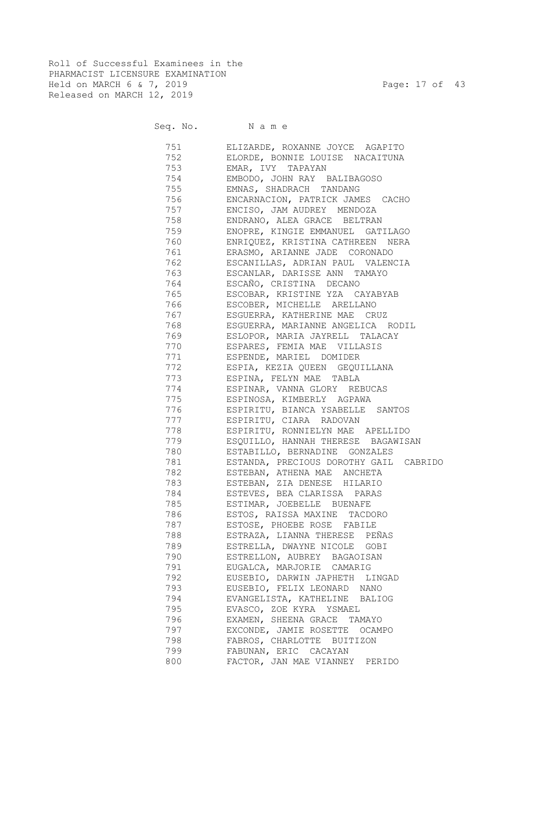Roll of Successful Examinees in the PHARMACIST LICENSURE EXAMINATION Held on MARCH 6 & 7, 2019 Page: 17 of 43 Released on MARCH 12, 2019

#### Seq. No. Name

 751 ELIZARDE, ROXANNE JOYCE AGAPITO 752 ELORDE, BONNIE LOUISE NACAITUNA 753 EMAR, IVY TAPAYAN 754 EMBODO, JOHN RAY BALIBAGOSO 755 EMNAS, SHADRACH TANDANG 756 ENCARNACION, PATRICK JAMES CACHO 757 ENCISO, JAM AUDREY MENDOZA 758 ENDRANO, ALEA GRACE BELTRAN 759 ENOPRE, KINGIE EMMANUEL GATILAGO 760 ENRIQUEZ, KRISTINA CATHREEN NERA 761 ERASMO, ARIANNE JADE CORONADO 762 ESCANILLAS, ADRIAN PAUL VALENCIA 763 ESCANLAR, DARISSE ANN TAMAYO 764 ESCAÑO, CRISTINA DECANO 765 ESCOBAR, KRISTINE YZA CAYABYAB 766 ESCOBER, MICHELLE ARELLANO 767 ESGUERRA, KATHERINE MAE CRUZ 768 ESGUERRA, MARIANNE ANGELICA RODIL 769 ESLOPOR, MARIA JAYRELL TALACAY 770 ESPARES, FEMIA MAE VILLASIS 771 ESPENDE, MARIEL DOMIDER 772 ESPIA, KEZIA QUEEN GEQUILLANA 773 ESPINA, FELYN MAE TABLA 774 ESPINAR, VANNA GLORY REBUCAS 775 ESPINOSA, KIMBERLY AGPAWA 776 ESPIRITU, BIANCA YSABELLE SANTOS 777 ESPIRITU, CIARA RADOVAN 778 ESPIRITU, RONNIELYN MAE APELLIDO 779 ESQUILLO, HANNAH THERESE BAGAWISAN 780 ESTABILLO, BERNADINE GONZALES 781 ESTANDA, PRECIOUS DOROTHY GAIL CABRIDO 782 ESTEBAN, ATHENA MAE ANCHETA 783 ESTEBAN, ZIA DENESE HILARIO 784 ESTEVES, BEA CLARISSA PARAS 785 ESTIMAR, JOEBELLE BUENAFE 786 ESTOS, RAISSA MAXINE TACDORO 787 ESTOSE, PHOEBE ROSE FABILE 788 ESTRAZA, LIANNA THERESE PEÑAS 789 ESTRELLA, DWAYNE NICOLE GOBI 790 ESTRELLON, AUBREY BAGAOISAN 791 EUGALCA, MARJORIE CAMARIG 792 EUSEBIO, DARWIN JAPHETH LINGAD 793 EUSEBIO, FELIX LEONARD NANO 794 EVANGELISTA, KATHELINE BALIOG 795 EVASCO, ZOE KYRA YSMAEL 796 EXAMEN, SHEENA GRACE TAMAYO 797 EXCONDE, JAMIE ROSETTE OCAMPO 798 FABROS, CHARLOTTE BUITIZON 799 FABUNAN, ERIC CACAYAN 800 FACTOR, JAN MAE VIANNEY PERIDO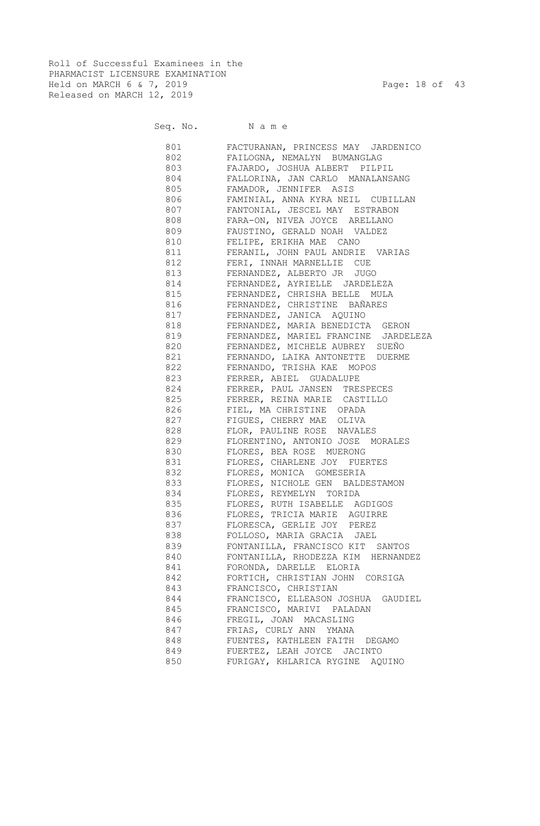Roll of Successful Examinees in the PHARMACIST LICENSURE EXAMINATION Held on MARCH 6 & 7, 2019 Page: 18 of 43 Released on MARCH 12, 2019

Seq. No. Name

 801 FACTURANAN, PRINCESS MAY JARDENICO 802 FAILOGNA, NEMALYN BUMANGLAG 803 FAJARDO, JOSHUA ALBERT PILPIL 804 FALLORINA, JAN CARLO MANALANSANG 805 FAMADOR, JENNIFER ASIS 806 FAMINIAL, ANNA KYRA NEIL CUBILLAN 807 FANTONIAL, JESCEL MAY ESTRABON 808 FARA-ON, NIVEA JOYCE ARELLANO 809 FAUSTINO, GERALD NOAH VALDEZ 810 FELIPE, ERIKHA MAE CANO 811 FERANIL, JOHN PAUL ANDRIE VARIAS 812 FERI, INNAH MARNELLIE CUE 813 FERNANDEZ, ALBERTO JR JUGO 814 FERNANDEZ, AYRIELLE JARDELEZA 815 FERNANDEZ, CHRISHA BELLE MULA 816 FERNANDEZ, CHRISTINE BAÑARES 817 FERNANDEZ, JANICA AQUINO 818 FERNANDEZ, MARIA BENEDICTA GERON 819 FERNANDEZ, MARIEL FRANCINE JARDELEZA 820 FERNANDEZ, MICHELE AUBREY SUEÑO 821 FERNANDO, LAIKA ANTONETTE DUERME 822 FERNANDO, TRISHA KAE MOPOS 823 FERRER, ABIEL GUADALUPE 824 FERRER, PAUL JANSEN TRESPECES 825 FERRER, REINA MARIE CASTILLO 826 FIEL, MA CHRISTINE OPADA 827 FIGUES, CHERRY MAE OLIVA 828 FLOR, PAULINE ROSE NAVALES 829 FLORENTINO, ANTONIO JOSE MORALES 830 FLORES, BEA ROSE MUERONG 831 FLORES, CHARLENE JOY FUERTES 832 FLORES, MONICA GOMESERIA 833 FLORES, NICHOLE GEN BALDESTAMON 834 FLORES, REYMELYN TORIDA 835 FLORES, RUTH ISABELLE AGDIGOS 836 FLORES, TRICIA MARIE AGUIRRE 837 FLORESCA, GERLIE JOY PEREZ 838 FOLLOSO, MARIA GRACIA JAEL 839 FONTANILLA, FRANCISCO KIT SANTOS 840 FONTANILLA, RHODEZZA KIM HERNANDEZ 841 FORONDA, DARELLE ELORIA 842 FORTICH, CHRISTIAN JOHN CORSIGA 843 FRANCISCO, CHRISTIAN 844 FRANCISCO, ELLEASON JOSHUA GAUDIEL 845 FRANCISCO, MARIVI PALADAN 846 FREGIL, JOAN MACASLING 847 FRIAS, CURLY ANN YMANA 848 FUENTES, KATHLEEN FAITH DEGAMO 849 FUERTEZ, LEAH JOYCE JACINTO 850 FURIGAY, KHLARICA RYGINE AQUINO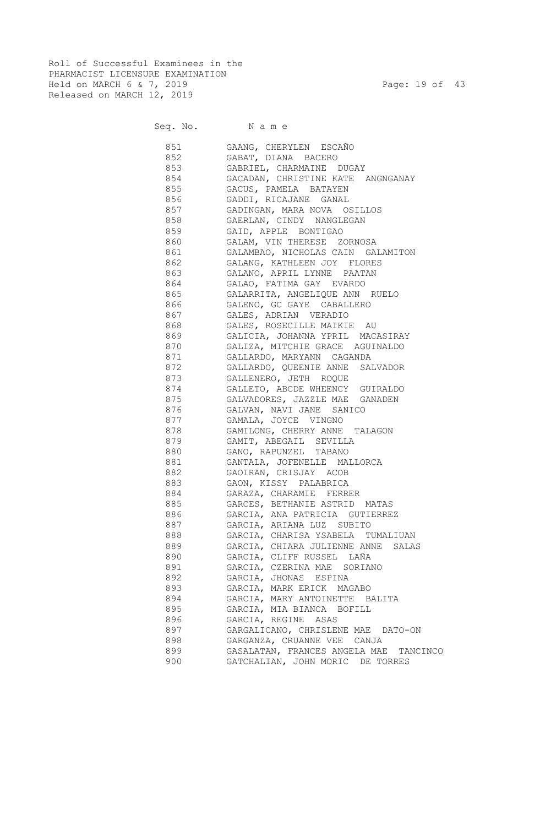Roll of Successful Examinees in the PHARMACIST LICENSURE EXAMINATION Held on MARCH 6 & 7, 2019 Page: 19 of 43 Released on MARCH 12, 2019

Seq. No. Name

 851 GAANG, CHERYLEN ESCAÑO 852 GABAT, DIANA BACERO 853 GABRIEL, CHARMAINE DUGAY 854 GACADAN, CHRISTINE KATE ANGNGANAY 855 GACUS, PAMELA BATAYEN 856 GADDI, RICAJANE GANAL 857 GADINGAN, MARA NOVA OSILLOS 858 GAERLAN, CINDY NANGLEGAN 859 GAID, APPLE BONTIGAO 860 GALAM, VIN THERESE ZORNOSA 861 GALAMBAO, NICHOLAS CAIN GALAMITON 862 GALANG, KATHLEEN JOY FLORES 863 GALANO, APRIL LYNNE PAATAN 864 GALAO, FATIMA GAY EVARDO 865 GALARRITA, ANGELIQUE ANN RUELO 866 GALENO, GC GAYE CABALLERO 867 GALES, ADRIAN VERADIO 868 GALES, ROSECILLE MAIKIE AU 869 GALICIA, JOHANNA YPRIL MACASIRAY 870 GALIZA, MITCHIE GRACE AGUINALDO 871 GALLARDO, MARYANN CAGANDA 872 GALLARDO, QUEENIE ANNE SALVADOR 873 GALLENERO, JETH ROQUE 874 GALLETO, ABCDE WHEENCY GUIRALDO 875 GALVADORES, JAZZLE MAE GANADEN 876 GALVAN, NAVI JANE SANICO 877 GAMALA, JOYCE VINGNO 878 GAMILONG, CHERRY ANNE TALAGON 879 GAMIT, ABEGAIL SEVILLA 880 GANO, RAPUNZEL TABANO 881 GANTALA, JOFENELLE MALLORCA 882 GAOIRAN, CRISJAY ACOB 883 GAON, KISSY PALABRICA 884 GARAZA, CHARAMIE FERRER 885 GARCES, BETHANIE ASTRID MATAS 886 GARCIA, ANA PATRICIA GUTIERREZ 887 GARCIA, ARIANA LUZ SUBITO 888 GARCIA, CHARISA YSABELA TUMALIUAN 889 GARCIA, CHIARA JULIENNE ANNE SALAS 890 GARCIA, CLIFF RUSSEL LAÑA 891 GARCIA, CZERINA MAE SORIANO 892 GARCIA, JHONAS ESPINA 893 GARCIA, MARK ERICK MAGABO 894 GARCIA, MARY ANTOINETTE BALITA 895 GARCIA, MIA BIANCA BOFILL 896 GARCIA, REGINE ASAS 897 GARGALICANO, CHRISLENE MAE DATO-ON 898 GARGANZA, CRUANNE VEE CANJA 899 GASALATAN, FRANCES ANGELA MAE TANCINCO 900 GATCHALIAN, JOHN MORIC DE TORRES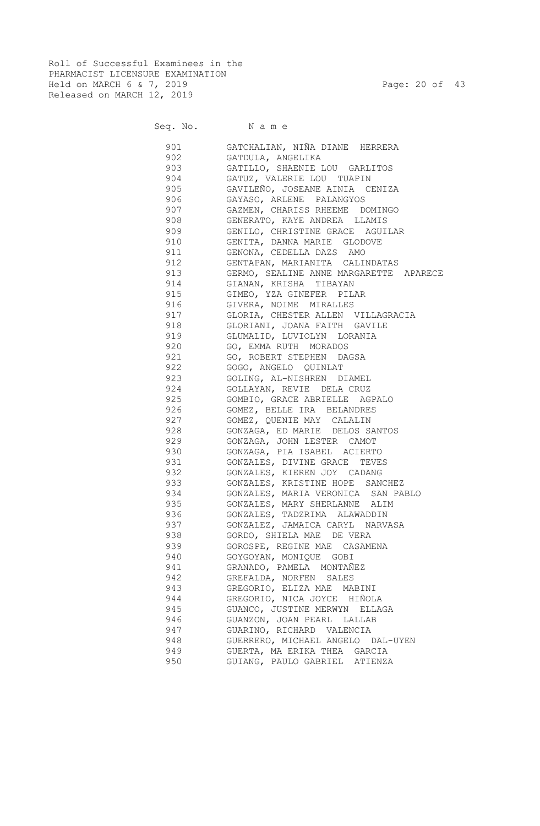Roll of Successful Examinees in the PHARMACIST LICENSURE EXAMINATION Held on MARCH 6 & 7, 2019 Page: 20 of 43 Released on MARCH 12, 2019

# Seq. No. Name

 901 GATCHALIAN, NIÑA DIANE HERRERA 902 GATDULA, ANGELIKA 903 GATILLO, SHAENIE LOU GARLITOS 904 GATUZ, VALERIE LOU TUAPIN 905 GAVILEÑO, JOSEANE AINIA CENIZA 906 GAYASO, ARLENE PALANGYOS 907 GAZMEN, CHARISS RHEEME DOMINGO 908 GENERATO, KAYE ANDREA LLAMIS 909 GENILO, CHRISTINE GRACE AGUILAR 910 GENITA, DANNA MARIE GLODOVE 911 GENONA, CEDELLA DAZS AMO 912 GENTAPAN, MARIANITA CALINDATAS 913 GERMO, SEALINE ANNE MARGARETTE APARECE 914 GIANAN, KRISHA TIBAYAN 915 GIMEO, YZA GINEFER PILAR 916 GIVERA, NOIME MIRALLES 917 GLORIA, CHESTER ALLEN VILLAGRACIA 918 GLORIANI, JOANA FAITH GAVILE 919 GLUMALID, LUVIOLYN LORANIA 920 GO, EMMA RUTH MORADOS 921 GO, ROBERT STEPHEN DAGSA 922 GOGO, ANGELO QUINLAT 923 GOLING, AL-NISHREN DIAMEL 924 GOLLAYAN, REVIE DELA CRUZ 925 GOMBIO, GRACE ABRIELLE AGPALO 926 GOMEZ, BELLE IRA BELANDRES 927 GOMEZ, QUENIE MAY CALALIN 928 GONZAGA, ED MARIE DELOS SANTOS 929 GONZAGA, JOHN LESTER CAMOT 930 GONZAGA, PIA ISABEL ACIERTO 931 GONZALES, DIVINE GRACE TEVES 932 GONZALES, KIEREN JOY CADANG 933 GONZALES, KRISTINE HOPE SANCHEZ 934 GONZALES, MARIA VERONICA SAN PABLO 935 GONZALES, MARY SHERLANNE ALIM 936 GONZALES, TADZRIMA ALAWADDIN 937 GONZALEZ, JAMAICA CARYL NARVASA 938 GORDO, SHIELA MAE DE VERA 939 GOROSPE, REGINE MAE CASAMENA 940 GOYGOYAN, MONIQUE GOBI 941 GRANADO, PAMELA MONTAÑEZ 942 GREFALDA, NORFEN SALES 943 GREGORIO, ELIZA MAE MABINI 944 GREGORIO, NICA JOYCE HIÑOLA 945 GUANCO, JUSTINE MERWYN ELLAGA 946 GUANZON, JOAN PEARL LALLAB 947 GUARINO, RICHARD VALENCIA 948 GUERRERO, MICHAEL ANGELO DAL-UYEN 949 GUERTA, MA ERIKA THEA GARCIA 950 GUIANG, PAULO GABRIEL ATIENZA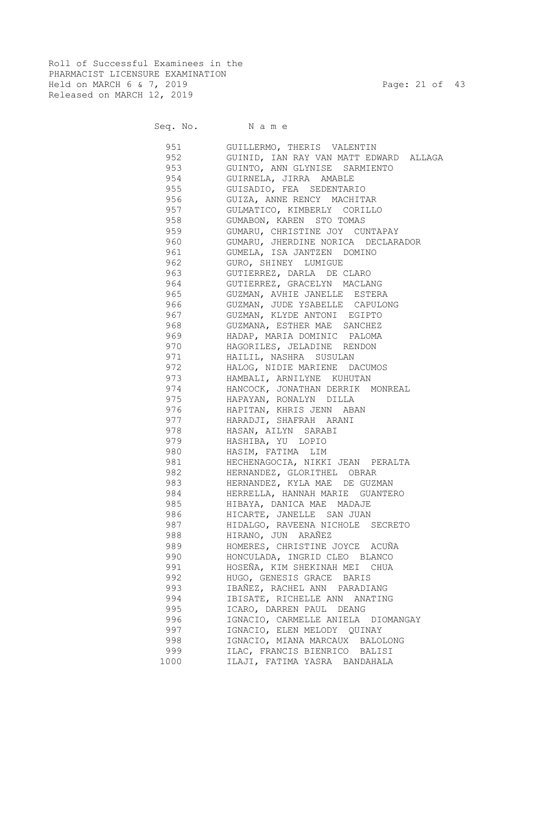Roll of Successful Examinees in the PHARMACIST LICENSURE EXAMINATION Held on MARCH 6 & 7, 2019 Page: 21 of 43 Released on MARCH 12, 2019

Seq. No. Name

 951 GUILLERMO, THERIS VALENTIN 952 GUINID, IAN RAY VAN MATT EDWARD ALLAGA 953 GUINTO, ANN GLYNISE SARMIENTO 954 GUIRNELA, JIRRA AMABLE 955 GUISADIO, FEA SEDENTARIO 956 GUIZA, ANNE RENCY MACHITAR 957 GULMATICO, KIMBERLY CORILLO 958 GUMABON, KAREN STO TOMAS 959 GUMARU, CHRISTINE JOY CUNTAPAY 960 GUMARU, JHERDINE NORICA DECLARADOR 961 GUMELA, ISA JANTZEN DOMINO 962 GURO, SHINEY LUMIGUE 963 GUTIERREZ, DARLA DE CLARO 964 GUTIERREZ, GRACELYN MACLANG 965 GUZMAN, AVHIE JANELLE ESTERA 966 GUZMAN, JUDE YSABELLE CAPULONG 967 GUZMAN, KLYDE ANTONI EGIPTO 968 GUZMANA, ESTHER MAE SANCHEZ 969 HADAP, MARIA DOMINIC PALOMA 970 HAGORILES, JELADINE RENDON 971 HAILIL, NASHRA SUSULAN 972 HALOG, NIDIE MARIENE DACUMOS 973 HAMBALI, ARNILYNE KUHUTAN 974 HANCOCK, JONATHAN DERRIK MONREAL 975 HAPAYAN, RONALYN DILLA 976 HAPITAN, KHRIS JENN ABAN 977 HARADJI, SHAFRAH ARANI 978 HASAN, AILYN SARABI 979 HASHIBA, YU LOPIO 980 HASIM, FATIMA LIM 981 HECHENAGOCIA, NIKKI JEAN PERALTA 982 HERNANDEZ, GLORITHEL OBRAR 983 HERNANDEZ, KYLA MAE DE GUZMAN 984 HERRELLA, HANNAH MARIE GUANTERO 985 HIBAYA, DANICA MAE MADAJE 986 HICARTE, JANELLE SAN JUAN 987 HIDALGO, RAVEENA NICHOLE SECRETO 988 HIRANO, JUN ARAÑEZ 989 HOMERES, CHRISTINE JOYCE ACUÑA 990 HONCULADA, INGRID CLEO BLANCO 991 HOSEÑA, KIM SHEKINAH MEI CHUA 992 HUGO, GENESIS GRACE BARIS 993 IBAÑEZ, RACHEL ANN PARADIANG 994 IBISATE, RICHELLE ANN ANATING 995 ICARO, DARREN PAUL DEANG 996 IGNACIO, CARMELLE ANIELA DIOMANGAY 997 IGNACIO, ELEN MELODY QUINAY 998 IGNACIO, MIANA MARCAUX BALOLONG 999 ILAC, FRANCIS BIENRICO BALISI 1000 ILAJI, FATIMA YASRA BANDAHALA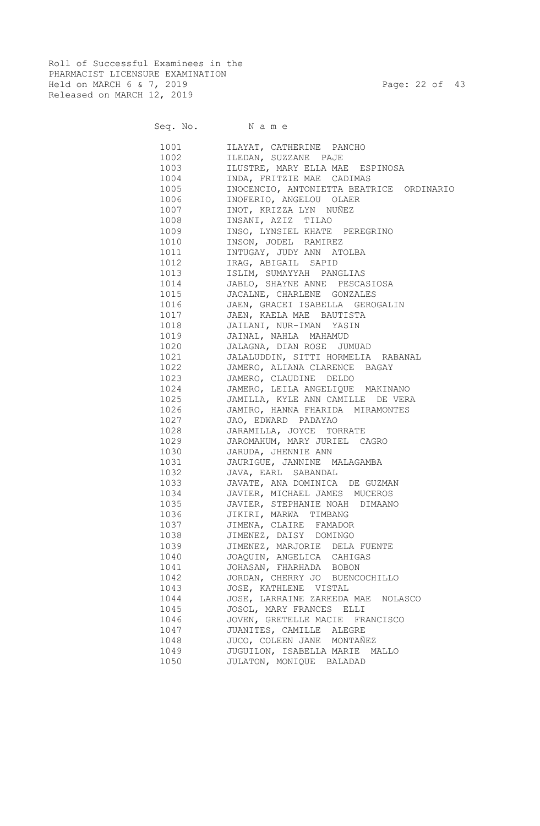Roll of Successful Examinees in the PHARMACIST LICENSURE EXAMINATION Held on MARCH 6 & 7, 2019 Page: 22 of 43 Released on MARCH 12, 2019

|      |        | Seq. No. Name                            |
|------|--------|------------------------------------------|
|      | 1001 \ | ILAYAT, CATHERINE PANCHO                 |
|      | 1002   | ILEDAN, SUZZANE PAJE                     |
|      | 1003   | ILUSTRE, MARY ELLA MAE ESPINOSA          |
|      | 1004   | INDA, FRITZIE MAE CADIMAS                |
|      | 1005   | INOCENCIO, ANTONIETTA BEATRICE ORDINARIO |
|      | 1006   | INOFERIO, ANGELOU OLAER                  |
|      | 1007   | INOT, KRIZZA LYN NUÑEZ                   |
|      | 1008   | INSANI, AZIZ TILAO                       |
|      | 1009   | INSO, LYNSIEL KHATE PEREGRINO            |
|      | 1010   | INSON, JODEL RAMIREZ                     |
|      | 1011   | INTUGAY, JUDY ANN ATOLBA                 |
|      | 1012   | IRAG, ABIGAIL SAPID                      |
|      | 1013   | ISLIM, SUMAYYAH PANGLIAS                 |
|      | 1014   | JABLO, SHAYNE ANNE PESCASIOSA            |
|      | 1015   | JACALNE, CHARLENE GONZALES               |
|      | 1016   | JAEN, GRACEI ISABELLA GEROGALIN          |
|      | 1017   | JAEN, KAELA MAE BAUTISTA                 |
|      | 1018   | JAILANI, NUR-IMAN YASIN                  |
|      | 1019   | JAINAL, NAHLA MAHAMUD                    |
|      | 1020   | JALAGNA, DIAN ROSE JUMUAD                |
|      | 1021   | JALALUDDIN, SITTI HORMELIA RABANAL       |
|      | 1022   | JAMERO, ALIANA CLARENCE BAGAY            |
|      | 1023   | JAMERO, CLAUDINE DELDO                   |
|      | 1024   | JAMERO, LEILA ANGELIQUE MAKINANO         |
|      | 1025   | JAMILLA, KYLE ANN CAMILLE DE VERA        |
|      | 1026   | JAMIRO, HANNA FHARIDA MIRAMONTES         |
|      | 1027   | JAO, EDWARD PADAYAO                      |
|      | 1028   | JARAMILLA, JOYCE TORRATE                 |
|      | 1029   | JAROMAHUM, MARY JURIEL CAGRO             |
|      | 1030   | JARUDA, JHENNIE ANN                      |
|      | 1031   | JAURIGUE, JANNINE MALAGAMBA              |
|      | 1032   | JAVA, EARL SABANDAL                      |
|      | 1033   | JAVATE, ANA DOMINICA DE GUZMAN           |
|      | 1034   | JAVIER, MICHAEL JAMES MUCEROS            |
|      | 1035   | JAVIER, STEPHANIE NOAH DIMAANO           |
|      | 1036   | JIKIRI, MARWA TIMBANG                    |
|      | 1037   | JIMENA, CLAIRE FAMADOR                   |
|      | 1038   | JIMENEZ, DAISY DOMINGO                   |
|      | 1039   | JIMENEZ, MARJORIE DELA FUENTE            |
|      | 1040   | JOAQUIN, ANGELICA CAHIGAS                |
|      | 1041   | JOHASAN, FHARHADA BOBON                  |
|      | 1042   | JORDAN, CHERRY JO BUENCOCHILLO           |
|      | 1043   | JOSE, KATHLENE VISTAL                    |
|      | 1044   | JOSE, LARRAINE ZAREEDA MAE<br>NOLASCO    |
| 1045 |        | JOSOL, MARY FRANCES ELLI                 |
|      | 1046   | JOVEN, GRETELLE MACIE FRANCISCO          |
|      | 1047   | JUANITES, CAMILLE ALEGRE                 |
|      | 1048   | JUCO, COLEEN JANE MONTAÑEZ               |
|      | 1049   | JUGUILON, ISABELLA MARIE MALLO           |
|      | 1050   | JULATON, MONIQUE BALADAD                 |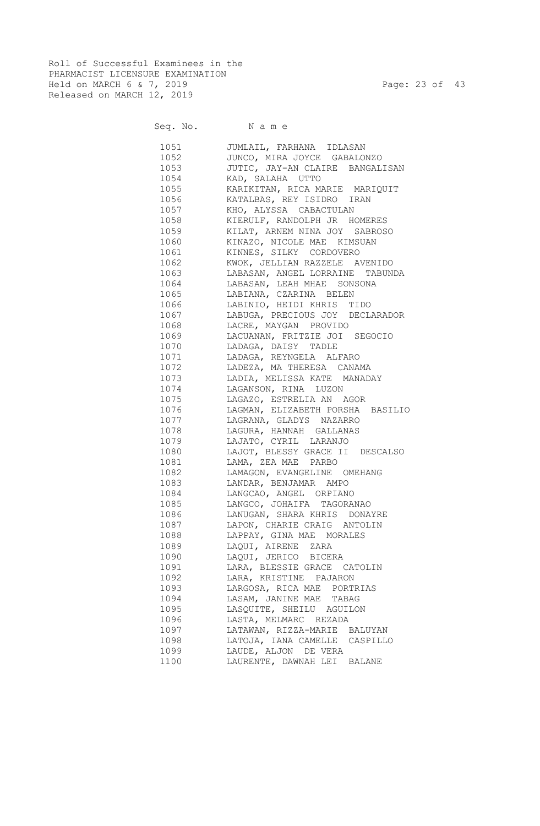Roll of Successful Examinees in the PHARMACIST LICENSURE EXAMINATION Held on MARCH 6 & 7, 2019 Page: 23 of 43 Released on MARCH 12, 2019

Seq. No. Name

 1051 JUMLAIL, FARHANA IDLASAN 1052 JUNCO, MIRA JOYCE GABALONZO 1053 JUTIC, JAY-AN CLAIRE BANGALISAN 1054 KAD, SALAHA UTTO 1055 KARIKITAN, RICA MARIE MARIQUIT 1056 KATALBAS, REY ISIDRO IRAN 1057 KHO, ALYSSA CABACTULAN 1058 KIERULF, RANDOLPH JR HOMERES 1059 KILAT, ARNEM NINA JOY SABROSO 1060 KINAZO, NICOLE MAE KIMSUAN 1061 KINNES, SILKY CORDOVERO 1062 KWOK, JELLIAN RAZZELE AVENIDO 1063 LABASAN, ANGEL LORRAINE TABUNDA 1064 LABASAN, LEAH MHAE SONSONA 1065 LABIANA, CZARINA BELEN 1066 LABINIO, HEIDI KHRIS TIDO 1067 LABUGA, PRECIOUS JOY DECLARADOR 1068 LACRE, MAYGAN PROVIDO 1069 LACUANAN, FRITZIE JOI SEGOCIO 1070 LADAGA, DAISY TADLE 1071 LADAGA, REYNGELA ALFARO 1072 LADEZA, MA THERESA CANAMA 1073 LADIA, MELISSA KATE MANADAY 1074 LAGANSON, RINA LUZON 1075 LAGAZO, ESTRELIA AN AGOR 1076 LAGMAN, ELIZABETH PORSHA BASILIO 1077 LAGRANA, GLADYS NAZARRO 1078 LAGURA, HANNAH GALLANAS 1079 LAJATO, CYRIL LARANJO 1080 LAJOT, BLESSY GRACE II DESCALSO 1081 LAMA, ZEA MAE PARBO 1082 LAMAGON, EVANGELINE OMEHANG 1083 LANDAR, BENJAMAR AMPO 1084 LANGCAO, ANGEL ORPIANO 1085 LANGCO, JOHAIFA TAGORANAO 1086 LANUGAN, SHARA KHRIS DONAYRE 1087 LAPON, CHARIE CRAIG ANTOLIN 1088 LAPPAY, GINA MAE MORALES 1089 LAQUI, AIRENE ZARA 1090 LAQUI, JERICO BICERA 1091 LARA, BLESSIE GRACE CATOLIN 1092 LARA, KRISTINE PAJARON 1093 LARGOSA, RICA MAE PORTRIAS 1094 LASAM, JANINE MAE TABAG 1095 LASQUITE, SHEILU AGUILON 1096 LASTA, MELMARC REZADA 1097 LATAWAN, RIZZA-MARIE BALUYAN 1098 LATOJA, IANA CAMELLE CASPILLO 1099 LAUDE, ALJON DE VERA 1100 LAURENTE, DAWNAH LEI BALANE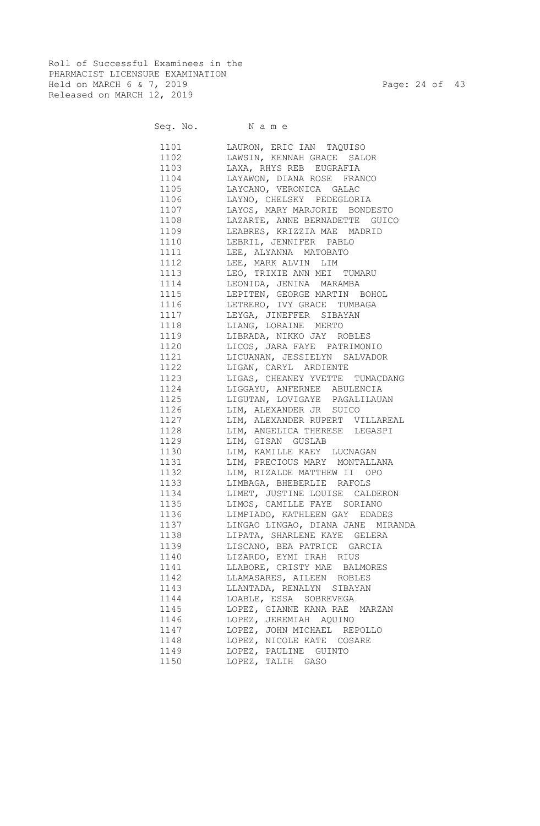Roll of Successful Examinees in the PHARMACIST LICENSURE EXAMINATION Held on MARCH 6 & 7, 2019 Page: 24 of 43 Released on MARCH 12, 2019

Seq. No. Name

 1101 LAURON, ERIC IAN TAQUISO 1102 LAWSIN, KENNAH GRACE SALOR 1103 LAXA, RHYS REB EUGRAFIA 1104 LAYAWON, DIANA ROSE FRANCO 1105 LAYCANO, VERONICA GALAC 1106 LAYNO, CHELSKY PEDEGLORIA 1107 LAYOS, MARY MARJORIE BONDESTO 1108 LAZARTE, ANNE BERNADETTE GUICO 1109 LEABRES, KRIZZIA MAE MADRID 1110 LEBRIL, JENNIFER PABLO 1111 LEE, ALYANNA MATOBATO 1112 LEE, MARK ALVIN LIM 1113 LEO, TRIXIE ANN MEI TUMARU 1114 LEONIDA, JENINA MARAMBA 1115 LEPITEN, GEORGE MARTIN BOHOL 1116 LETRERO, IVY GRACE TUMBAGA 1117 LEYGA, JINEFFER SIBAYAN 1118 LIANG, LORAINE MERTO 1119 LIBRADA, NIKKO JAY ROBLES 1120 LICOS, JARA FAYE PATRIMONIO 1121 LICUANAN, JESSIELYN SALVADOR 1122 LIGAN, CARYL ARDIENTE 1123 LIGAS, CHEANEY YVETTE TUMACDANG 1124 LIGGAYU, ANFERNEE ABULENCIA 1125 LIGUTAN, LOVIGAYE PAGALILAUAN 1126 LIM, ALEXANDER JR SUICO 1127 LIM, ALEXANDER RUPERT VILLAREAL 1128 LIM, ANGELICA THERESE LEGASPI 1129 LIM, GISAN GUSLAB 1130 LIM, KAMILLE KAEY LUCNAGAN 1131 LIM, PRECIOUS MARY MONTALLANA 1132 LIM, RIZALDE MATTHEW II OPO 1133 LIMBAGA, BHEBERLIE RAFOLS 1134 LIMET, JUSTINE LOUISE CALDERON 1135 LIMOS, CAMILLE FAYE SORIANO 1136 LIMPIADO, KATHLEEN GAY EDADES 1137 LINGAO LINGAO, DIANA JANE MIRANDA 1138 LIPATA, SHARLENE KAYE GELERA 1139 LISCANO, BEA PATRICE GARCIA 1140 LIZARDO, EYMI IRAH RIUS 1141 LLABORE, CRISTY MAE BALMORES 1142 LLAMASARES, AILEEN ROBLES 1143 LLANTADA, RENALYN SIBAYAN 1144 LOABLE, ESSA SOBREVEGA 1145 LOPEZ, GIANNE KANA RAE MARZAN 1146 LOPEZ, JEREMIAH AQUINO 1147 LOPEZ, JOHN MICHAEL REPOLLO 1148 LOPEZ, NICOLE KATE COSARE 1149 LOPEZ, PAULINE GUINTO 1150 LOPEZ, TALIH GASO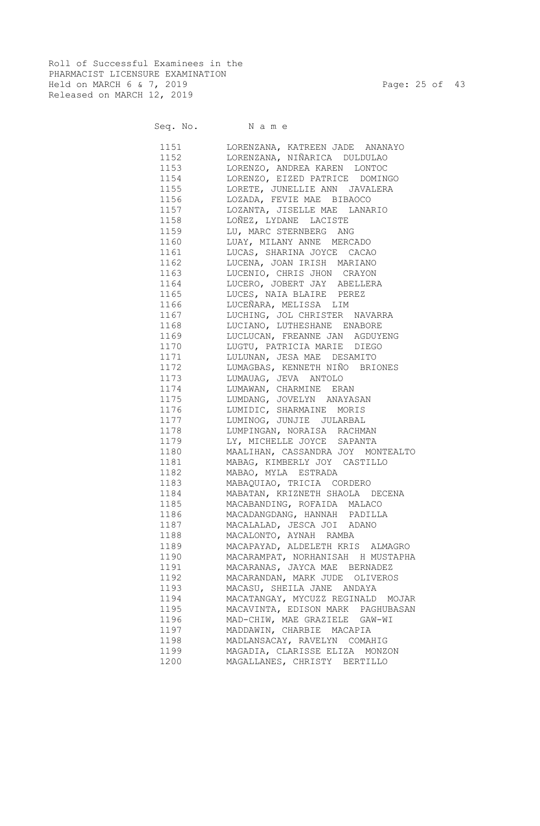Roll of Successful Examinees in the PHARMACIST LICENSURE EXAMINATION Held on MARCH 6 & 7, 2019 Page: 25 of 43 Released on MARCH 12, 2019

Seq. No. Name

| 1151     | LORENZANA, KATREEN JADE ANANAYO   |
|----------|-----------------------------------|
| 1152     | LORENZANA, NIÑARICA DULDULAO      |
| 1153     | LORENZO, ANDREA KAREN LONTOC      |
| 1154     | LORENZO, EIZED PATRICE DOMINGO    |
| 1155 700 | LORETE, JUNELLIE ANN JAVALERA     |
| 1156 11  | LOZADA, FEVIE MAE BIBAOCO         |
| 1157     | LOZANTA, JISELLE MAE LANARIO      |
| 1158 31  | LOÑEZ, LYDANE LACISTE             |
| 1159     | LU, MARC STERNBERG ANG            |
|          | 1160 LUAY, MILANY ANNE MERCADO    |
| 1161     | LUCAS, SHARINA JOYCE CACAO        |
| 1162     | LUCENA, JOAN IRISH MARIANO        |
| 1163     | LUCENIO, CHRIS JHON CRAYON        |
| 1164     | LUCERO, JOBERT JAY ABELLERA       |
| 1165     | LUCES, NAIA BLAIRE PEREZ          |
| 1166     | LUCEÑARA, MELISSA LIM             |
| 1167     | LUCHING, JOL CHRISTER NAVARRA     |
| 1168     | LUCIANO, LUTHESHANE ENABORE       |
| 1169     | LUCLUCAN, FREANNE JAN AGDUYENG    |
| 1170     | LUGTU, PATRICIA MARIE DIEGO       |
| 1171     | LULUNAN, JESA MAE DESAMITO        |
| 1172     | LUMAGBAS, KENNETH NIÑO BRIONES    |
| 1173     | LUMAUAG, JEVA ANTOLO              |
| 1174     | LUMAWAN, CHARMINE ERAN            |
| 1175     | LUMDANG, JOVELYN ANAYASAN         |
| 1176     | LUMIDIC, SHARMAINE MORIS          |
| 1177     | LUMINOG, JUNJIE JULARBAL          |
| 1178     | LUMPINGAN, NORAISA RACHMAN        |
| 1179     | LY, MICHELLE JOYCE SAPANTA        |
| 1180     | MAALIHAN, CASSANDRA JOY MONTEALTO |
| 1181     | MABAG, KIMBERLY JOY CASTILLO      |
| 1182     | MABAO, MYLA ESTRADA               |
| 1183     | MABAQUIAO, TRICIA CORDERO         |
| 1184     | MABATAN, KRIZNETH SHAOLA DECENA   |
| 1185     | MACABANDING, ROFAIDA MALACO       |
| 1186     | MACADANGDANG, HANNAH PADILLA      |
| 1187     | MACALALAD, JESCA JOI ADANO        |
| 1188     | MACALONTO, AYNAH RAMBA            |
| 1189     | MACAPAYAD, ALDELETH KRIS ALMAGRO  |
| 1190     | MACARAMPAT, NORHANISAH H MUSTAPHA |
| 1191     | MACARANAS, JAYCA MAE BERNADEZ     |
| 1192     | MACARANDAN, MARK JUDE OLIVEROS    |
| 1193     | MACASU, SHEILA JANE ANDAYA        |
| 1194     | MACATANGAY, MYCUZZ REGINALD MOJAR |
| 1195     | MACAVINTA, EDISON MARK PAGHUBASAN |
| 1196     | MAD-CHIW, MAE GRAZIELE GAW-WI     |
| 1197     | MADDAWIN, CHARBIE MACAPIA         |
| 1198     | MADLANSACAY, RAVELYN COMAHIG      |
| 1199     | MAGADIA, CLARISSE ELIZA MONZON    |
| 1200     | MAGALLANES, CHRISTY BERTILLO      |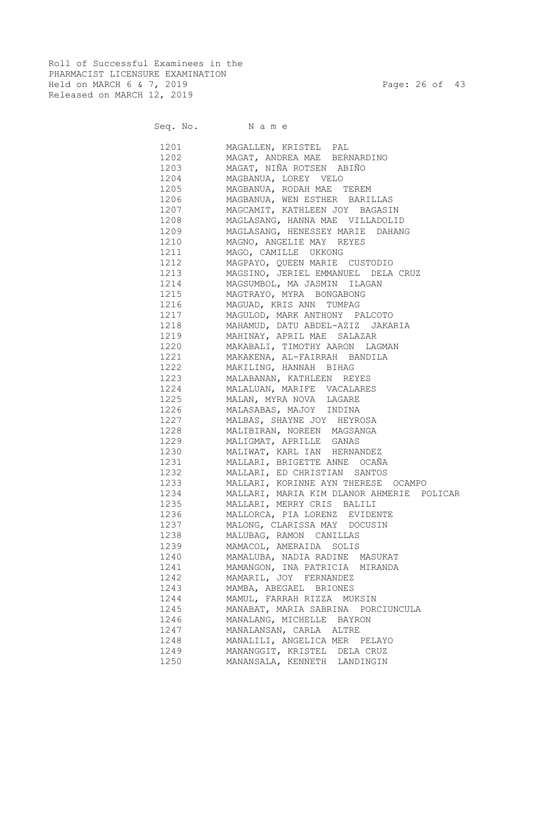Roll of Successful Examinees in the PHARMACIST LICENSURE EXAMINATION Held on MARCH 6 & 7, 2019 Page: 26 of 43 Released on MARCH 12, 2019

#### Seq. No. Name

 1201 MAGALLEN, KRISTEL PAL 1202 MAGAT, ANDREA MAE BERNARDINO 1203 MAGAT, NIÑA ROTSEN ABIÑO 1204 MAGBANUA, LOREY VELO 1205 MAGBANUA, RODAH MAE TEREM 1206 MAGBANUA, WEN ESTHER BARILLAS 1207 MAGCAMIT, KATHLEEN JOY BAGASIN 1208 MAGLASANG, HANNA MAE VILLADOLID 1209 MAGLASANG, HENESSEY MARIE DAHANG 1210 MAGNO, ANGELIE MAY REYES 1211 MAGO, CAMILLE UKKONG 1212 MAGPAYO, QUEEN MARIE CUSTODIO 1213 MAGSINO, JERIEL EMMANUEL DELA CRUZ 1214 MAGSUMBOL, MA JASMIN ILAGAN 1215 MAGTRAYO, MYRA BONGABONG 1216 MAGUAD, KRIS ANN TUMPAG 1217 MAGULOD, MARK ANTHONY PALCOTO 1218 MAHAMUD, DATU ABDEL-AZIZ JAKARIA 1219 MAHINAY, APRIL MAE SALAZAR 1220 MAKABALI, TIMOTHY AARON LAGMAN 1221 MAKAKENA, AL-FAIRRAH BANDILA 1222 MAKILING, HANNAH BIHAG 1223 MALABANAN, KATHLEEN REYES 1224 MALALUAN, MARIFE VACALARES 1225 MALAN, MYRA NOVA LAGARE 1226 MALASABAS, MAJOY INDINA 1227 MALBAS, SHAYNE JOY HEYROSA 1228 MALIBIRAN, NOREEN MAGSANGA 1229 MALIGMAT, APRILLE GANAS 1230 MALIWAT, KARL IAN HERNANDEZ 1231 MALLARI, BRIGETTE ANNE OCAÑA 1232 MALLARI, ED CHRISTIAN SANTOS 1233 MALLARI, KORINNE AYN THERESE OCAMPO 1234 MALLARI, MARIA KIM DLANOR AHMERIE POLICAR 1235 MALLARI, MERRY CRIS BALILI 1236 MALLORCA, PIA LORENZ EVIDENTE 1237 MALONG, CLARISSA MAY DOCUSIN 1238 MALUBAG, RAMON CANILLAS 1239 MAMACOL, AMERAIDA SOLIS 1240 MAMALUBA, NADIA RADINE MASUKAT 1241 MAMANGON, INA PATRICIA MIRANDA 1242 MAMARIL, JOY FERNANDEZ 1243 MAMBA, ABEGAEL BRIONES 1244 MAMUL, FARRAH RIZZA MUKSIN 1245 MANABAT, MARIA SABRINA PORCIUNCULA 1246 MANALANG, MICHELLE BAYRON 1247 MANALANSAN, CARLA ALTRE 1248 MANALILI, ANGELICA MER PELAYO 1249 MANANGGIT, KRISTEL DELA CRUZ 1250 MANANSALA, KENNETH LANDINGIN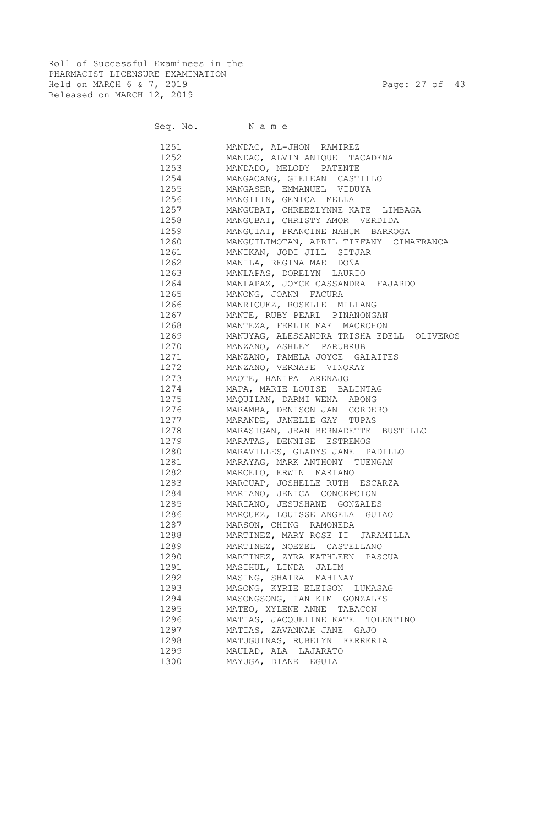Roll of Successful Examinees in the PHARMACIST LICENSURE EXAMINATION Held on MARCH 6 & 7, 2019 Page: 27 of 43 Released on MARCH 12, 2019

|      | Seq. No. Name                             |
|------|-------------------------------------------|
| 1251 | MANDAC, AL-JHON RAMIREZ                   |
| 1252 | MANDAC, ALVIN ANIQUE TACADENA             |
| 1253 | MANDADO, MELODY PATENTE                   |
| 1254 | MANGAOANG, GIELEAN CASTILLO               |
| 1255 | MANGASER, EMMANUEL VIDUYA                 |
| 1256 | MANGILIN, GENICA MELLA                    |
| 1257 | MANGUBAT, CHREEZLYNNE KATE LIMBAGA        |
| 1258 | MANGUBAT, CHRISTY AMOR VERDIDA            |
| 1259 | MANGUIAT, FRANCINE NAHUM BARROGA          |
| 1260 | MANGUILIMOTAN, APRIL TIFFANY CIMAFRANCA   |
| 1261 | MANIKAN, JODI JILL SITJAR                 |
| 1262 | MANILA, REGINA MAE DOÑA                   |
| 1263 | MANLAPAS, DORELYN LAURIO                  |
| 1264 | MANLAPAZ, JOYCE CASSANDRA FAJARDO         |
| 1265 | MANONG, JOANN FACURA                      |
| 1266 | MANRIQUEZ, ROSELLE MILLANG                |
| 1267 | MANTE, RUBY PEARL PINANONGAN              |
| 1268 | MANTEZA, FERLIE MAE MACROHON              |
| 1269 | MANUYAG, ALESSANDRA TRISHA EDELL OLIVEROS |
| 1270 | MANZANO, ASHLEY PARUBRUB                  |
| 1271 | MANZANO, PAMELA JOYCE GALAITES            |
| 1272 | MANZANO, VERNAFE VINORAY                  |
| 1273 | MAOTE, HANIPA ARENAJO                     |
| 1274 | MAPA, MARIE LOUISE BALINTAG               |
| 1275 | MAQUILAN, DARMI WENA ABONG                |
| 1276 | MARAMBA, DENISON JAN CORDERO              |
| 1277 | MARANDE, JANELLE GAY TUPAS                |
| 1278 | MARASIGAN, JEAN BERNADETTE BUSTILLO       |
| 1279 | MARATAS, DENNISE ESTREMOS                 |
| 1280 | MARAVILLES, GLADYS JANE PADILLO           |
| 1281 | MARAYAG, MARK ANTHONY TUENGAN             |
| 1282 | MARCELO, ERWIN MARIANO                    |
| 1283 | MARCUAP, JOSHELLE RUTH ESCARZA            |
| 1284 | MARIANO, JENICA CONCEPCION                |
| 1285 | MARIANO, JESUSHANE GONZALES               |
| 1286 | MARQUEZ, LOUISSE ANGELA GUIAO             |
| 1287 | MARSON, CHING RAMONEDA                    |
| 1288 | MARTINEZ, MARY ROSE II JARAMILLA          |
| 1289 | MARTINEZ, NOEZEL CASTELLANO               |
| 1290 | MARTINEZ, ZYRA KATHLEEN PASCUA            |
| 1291 | MASIHUL, LINDA JALIM                      |
| 1292 | MASING, SHAIRA MAHINAY                    |
| 1293 | MASONG, KYRIE ELEISON LUMASAG             |
| 1294 | MASONGSONG, IAN KIM GONZALES              |
| 1295 | MATEO, XYLENE ANNE TABACON                |
| 1296 | MATIAS, JACQUELINE KATE TOLENTINO         |
| 1297 | MATIAS, ZAVANNAH JANE GAJO                |
| 1298 | MATUGUINAS, RUBELYN FERRERIA              |
| 1299 | MAULAD, ALA LAJARATO                      |

1300 MAYUGA, DIANE EGUIA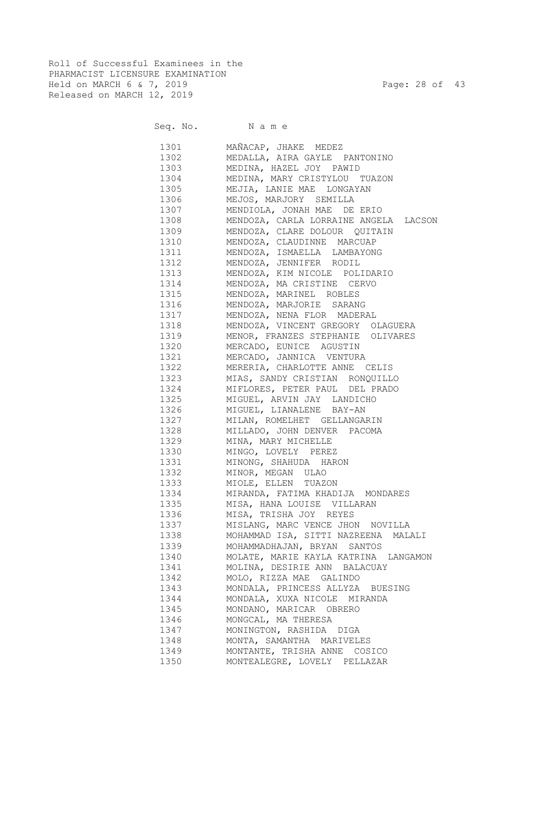Roll of Successful Examinees in the PHARMACIST LICENSURE EXAMINATION Held on MARCH 6 & 7, 2019 Page: 28 of 43 Released on MARCH 12, 2019

|               | Seq. No. Name                         |
|---------------|---------------------------------------|
| 1301 \        | MAÑACAP, JHAKE MEDEZ                  |
| 1302          | MEDALLA, AIRA GAYLE PANTONINO         |
| 1303 and 1303 | MEDINA, HAZEL JOY PAWID               |
| 1304          | MEDINA, MARY CRISTYLOU TUAZON         |
| 1305          | MEJIA, LANIE MAE LONGAYAN             |
| 1306 130      | MEJOS, MARJORY SEMILLA                |
| 1307          | MENDIOLA, JONAH MAE DE ERIO           |
| 1308          | MENDOZA, CARLA LORRAINE ANGELA LACSON |
| 1309          | MENDOZA, CLARE DOLOUR QUITAIN         |
| 1310          | MENDOZA, CLAUDINNE MARCUAP            |
| 1311 \        | MENDOZA, ISMAELLA LAMBAYONG           |
| 1312          | MENDOZA, JENNIFER RODIL               |
| 1313          | MENDOZA, KIM NICOLE POLIDARIO         |
| 1314          | MENDOZA, MA CRISTINE CERVO            |
| 1315          | MENDOZA, MARINEL ROBLES               |
| 1316          | MENDOZA, MARJORIE SARANG              |
| 1317          | MENDOZA, NENA FLOR MADERAL            |
| 1318          | MENDOZA, VINCENT GREGORY OLAGUERA     |
| 1319          | MENOR, FRANZES STEPHANIE OLIVARES     |
| 1320          | MERCADO, EUNICE AGUSTIN               |
| 1321          | MERCADO, JANNICA VENTURA              |
| 1322          | MERERIA, CHARLOTTE ANNE CELIS         |
| 1323          | MIAS, SANDY CRISTIAN RONQUILLO        |
| 1324          | MIFLORES, PETER PAUL DEL PRADO        |
| 1325          | MIGUEL, ARVIN JAY LANDICHO            |
| 1326          | MIGUEL, LIANALENE BAY-AN              |
| 1327          | MILAN, ROMELHET GELLANGARIN           |
| 1328          | MILLADO, JOHN DENVER PACOMA           |
| 1329          | MINA, MARY MICHELLE                   |
| 1330          | MINGO, LOVELY PEREZ                   |
| 1331          | MINONG, SHAHUDA HARON                 |
| 1332          | MINOR, MEGAN ULAO                     |
| 1333          | MIOLE, ELLEN TUAZON                   |
| 1334          | MIRANDA, FATIMA KHADIJA MONDARES      |
| 1335          | MISA, HANA LOUISE VILLARAN            |
| 1336          | MISA, TRISHA JOY REYES                |
| 1337          | MISLANG, MARC VENCE JHON NOVILLA      |
| 1338          | MOHAMMAD ISA, SITTI NAZREENA MALALI   |
| 1339          | MOHAMMADHAJAN, BRYAN SANTOS           |
| 1340          | MOLATE, MARIE KAYLA KATRINA LANGAMON  |
| 1341          | MOLINA, DESIRIE ANN BALACUAY          |
| 1342          | MOLO, RIZZA MAE GALINDO               |
| 1343          | MONDALA, PRINCESS ALLYZA BUESING      |
| 1344          | MONDALA, XUXA NICOLE MIRANDA          |
| 1345          | MONDANO, MARICAR OBRERO               |
| 1346          | MONGCAL, MA THERESA                   |
| 1347          | MONINGTON, RASHIDA DIGA               |
| 1348          | MONTA, SAMANTHA MARIVELES             |
| 1349          | MONTANTE, TRISHA ANNE COSICO          |
| 1350          | MONTEALEGRE, LOVELY PELLAZAR          |
|               |                                       |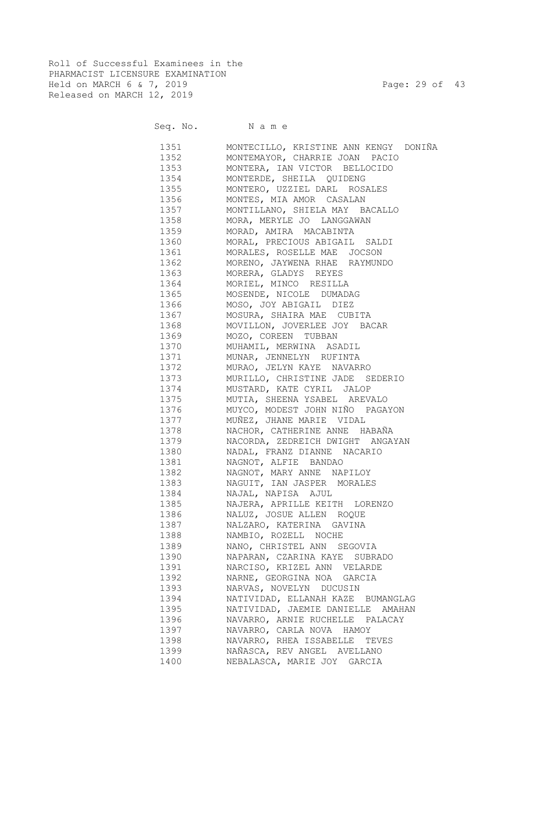Roll of Successful Examinees in the PHARMACIST LICENSURE EXAMINATION Held on MARCH 6 & 7, 2019 Page: 29 of 43 Released on MARCH 12, 2019

#### Seq. No. Name

 1351 MONTECILLO, KRISTINE ANN KENGY DONIÑA 1352 MONTEMAYOR, CHARRIE JOAN PACIO 1353 MONTERA, IAN VICTOR BELLOCIDO 1354 MONTERDE, SHEILA QUIDENG 1355 MONTERO, UZZIEL DARL ROSALES 1356 MONTES, MIA AMOR CASALAN 1357 MONTILLANO, SHIELA MAY BACALLO 1358 MORA, MERYLE JO LANGGAWAN 1359 MORAD, AMIRA MACABINTA 1360 MORAL, PRECIOUS ABIGAIL SALDI 1361 MORALES, ROSELLE MAE JOCSON 1362 MORENO, JAYWENA RHAE RAYMUNDO 1363 MORERA, GLADYS REYES 1364 MORIEL, MINCO RESILLA 1365 MOSENDE, NICOLE DUMADAG 1366 MOSO, JOY ABIGAIL DIEZ 1367 MOSURA, SHAIRA MAE CUBITA 1368 MOVILLON, JOVERLEE JOY BACAR 1369 MOZO, COREEN TUBBAN 1370 MUHAMIL, MERWINA ASADIL 1371 MUNAR, JENNELYN RUFINTA 1372 MURAO, JELYN KAYE NAVARRO 1373 MURILLO, CHRISTINE JADE SEDERIO 1374 MUSTARD, KATE CYRIL JALOP 1375 MUTIA, SHEENA YSABEL AREVALO 1376 MUYCO, MODEST JOHN NIÑO PAGAYON 1377 MUÑEZ, JHANE MARIE VIDAL 1378 NACHOR, CATHERINE ANNE HABAÑA 1379 NACORDA, ZEDREICH DWIGHT ANGAYAN 1380 NADAL, FRANZ DIANNE NACARIO 1381 NAGNOT, ALFIE BANDAO 1382 NAGNOT, MARY ANNE NAPILOY 1383 NAGUIT, IAN JASPER MORALES 1384 NAJAL, NAPISA AJUL 1385 NAJERA, APRILLE KEITH LORENZO 1386 NALUZ, JOSUE ALLEN ROQUE 1387 NALZARO, KATERINA GAVINA 1388 NAMBIO, ROZELL NOCHE 1389 NANO, CHRISTEL ANN SEGOVIA 1390 NAPARAN, CZARINA KAYE SUBRADO 1391 NARCISO, KRIZEL ANN VELARDE 1392 NARNE, GEORGINA NOA GARCIA 1393 NARVAS, NOVELYN DUCUSIN 1394 NATIVIDAD, ELLANAH KAZE BUMANGLAG 1395 NATIVIDAD, JAEMIE DANIELLE AMAHAN 1396 NAVARRO, ARNIE RUCHELLE PALACAY 1397 NAVARRO, CARLA NOVA HAMOY 1398 NAVARRO, RHEA ISSABELLE TEVES 1399 NAÑASCA, REV ANGEL AVELLANO 1400 NEBALASCA, MARIE JOY GARCIA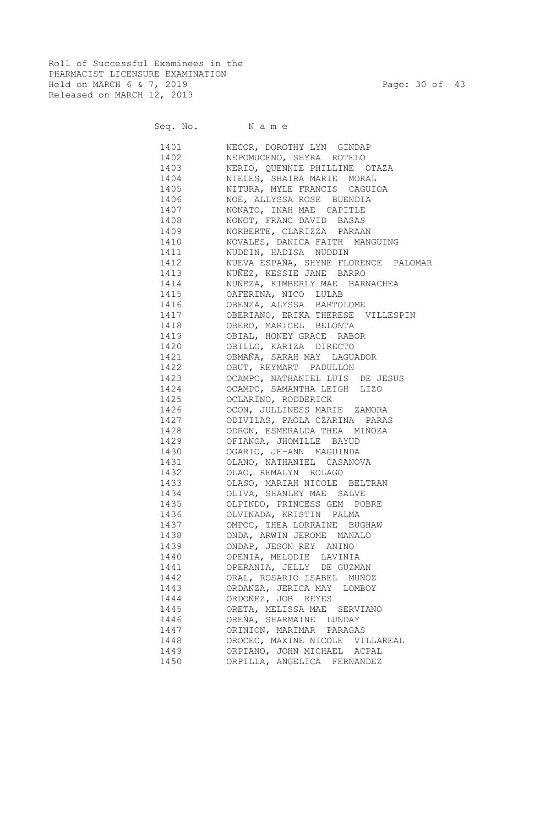Roll of Successful Examinees in the PHARMACIST LICENSURE EXAMINATION Held on MARCH 6 & 7, 2019 Page: 30 of 43 Released on MARCH 12, 2019

Seq. No. Name

 1401 NECOR, DOROTHY LYN GINDAP 1402 NEPOMUCENO, SHYRA ROTELO 1403 NERIO, QUENNIE PHILLINE OTAZA 1404 NIELES, SHAIRA MARIE MORAL 1405 NITURA, MYLE FRANCIS CAGUIOA 1406 NOE, ALLYSSA ROSE BUENDIA 1407 NONATO, INAH MAE CAPITLE 1408 NONOT, FRANC DAVID BASAS 1409 NORBERTE, CLARIZZA PARAAN 1410 NOVALES, DANICA FAITH MANGUING 1411 NUDDIN, HADISA NUDDIN 1412 NUEVA ESPAÑA, SHYNE FLORENCE PALOMAR 1413 NUÑEZ, KESSIE JANE BARRO 1414 NUÑEZA, KIMBERLY MAE BARNACHEA 1415 OAFERINA, NICO LULAB 1416 OBENZA, ALYSSA BARTOLOME 1417 OBERIANO, ERIKA THERESE VILLESPIN 1418 OBERO, MARICEL BELONTA 1419 OBIAL, HONEY GRACE RABOR 1420 OBILLO, KARIZA DIRECTO 1421 OBMAÑA, SARAH MAY LAGUADOR 1422 OBUT, REYMART PADULLON 1423 OCAMPO, NATHANIEL LUIS DE JESUS 1424 OCAMPO, SAMANTHA LEIGH LIZO 1425 OCLARINO, RODDERICK 1426 OCON, JULLINESS MARIE ZAMORA 1427 ODIVILAS, PAOLA CZARINA PARAS 1428 ODRON, ESMERALDA THEA MIÑOZA 1429 OFIANGA, JHOMILLE BAYUD 1430 OGARIO, JE-ANN MAGUINDA 1431 OLANO, NATHANIEL CASANOVA 1432 OLAO, REMALYN ROLAGO 1433 OLASO, MARIAH NICOLE BELTRAN 1434 OLIVA, SHANLEY MAE SALVE 1435 OLPINDO, PRINCESS GEM POBRE 1436 OLVINADA, KRISTIN PALMA 1437 OMPOC, THEA LORRAINE BUGHAW 1438 ONDA, ARWIN JEROME MANALO 1439 ONDAP, JESON REY ANINO 1440 OPENIA, MELODIE LAVINIA 1441 OPERANIA, JELLY DE GUZMAN 1442 ORAL, ROSARIO ISABEL MUÑOZ 1443 ORDANZA, JERICA MAY LOMBOY 1444 ORDOÑEZ, JOB REYES 1445 ORETA, MELISSA MAE SERVIANO 1446 OREÑA, SHARMAINE LUNDAY 1447 ORINION, MARIMAR PARAGAS 1448 OROCEO, MAXINE NICOLE VILLAREAL 1449 ORPIANO, JOHN MICHAEL ACPAL 1450 ORPILLA, ANGELICA FERNANDEZ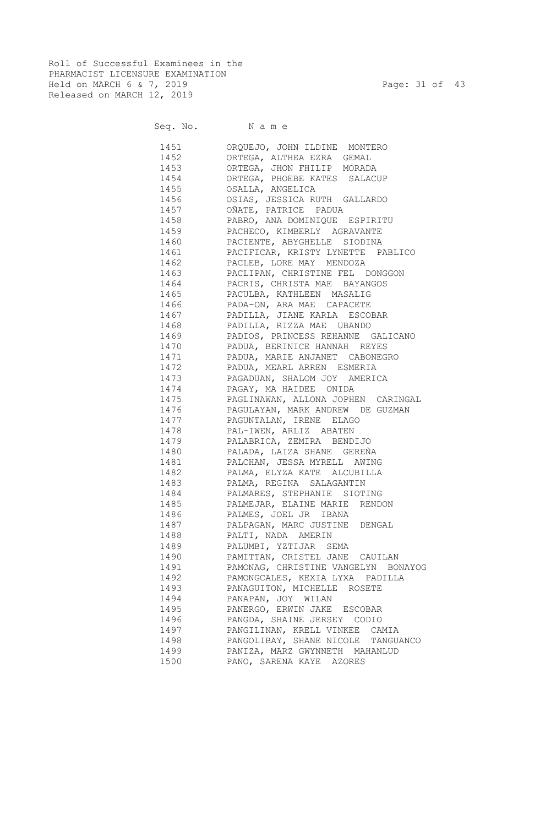Roll of Successful Examinees in the PHARMACIST LICENSURE EXAMINATION Held on MARCH 6 & 7, 2019 Page: 31 of 43 Released on MARCH 12, 2019

#### Seq. No. Name

 1451 ORQUEJO, JOHN ILDINE MONTERO 1452 ORTEGA, ALTHEA EZRA GEMAL 1453 ORTEGA, JHON FHILIP MORADA 1454 ORTEGA, PHOEBE KATES SALACUP 1455 OSALLA, ANGELICA 1456 OSIAS, JESSICA RUTH GALLARDO 1457 OÑATE, PATRICE PADUA 1458 PABRO, ANA DOMINIQUE ESPIRITU 1459 PACHECO, KIMBERLY AGRAVANTE 1460 PACIENTE, ABYGHELLE SIODINA 1461 PACIFICAR, KRISTY LYNETTE PABLICO 1462 PACLEB, LORE MAY MENDOZA 1463 PACLIPAN, CHRISTINE FEL DONGGON 1464 PACRIS, CHRISTA MAE BAYANGOS 1465 PACULBA, KATHLEEN MASALIG 1466 PADA-ON, ARA MAE CAPACETE 1467 PADILLA, JIANE KARLA ESCOBAR 1468 PADILLA, RIZZA MAE UBANDO 1469 PADIOS, PRINCESS REHANNE GALICANO 1470 PADUA, BERINICE HANNAH REYES 1471 PADUA, MARIE ANJANET CABONEGRO 1472 PADUA, MEARL ARREN ESMERIA<br>1473 PAGADUAN, SHALOM JOY AMERIQ PAGADUAN, SHALOM JOY AMERICA 1474 PAGAY, MA HAIDEE ONIDA 1475 PAGLINAWAN, ALLONA JOPHEN CARINGAL 1476 PAGULAYAN, MARK ANDREW DE GUZMAN 1477 PAGUNTALAN, IRENE ELAGO 1478 PAL-IWEN, ARLIZ ABATEN 1479 PALABRICA, ZEMIRA BENDIJO 1480 PALADA, LAIZA SHANE GEREÑA 1481 PALCHAN, JESSA MYRELL AWING 1482 PALMA, ELYZA KATE ALCUBILLA 1483 PALMA, REGINA SALAGANTIN 1484 PALMARES, STEPHANIE SIOTING 1485 PALMEJAR, ELAINE MARIE RENDON 1486 PALMES, JOEL JR IBANA 1487 PALPAGAN, MARC JUSTINE DENGAL 1488 PALTI, NADA AMERIN 1489 PALUMBI, YZTIJAR SEMA 1490 PAMITTAN, CRISTEL JANE CAUILAN 1491 PAMONAG, CHRISTINE VANGELYN BONAYOG 1492 PAMONGCALES, KEXIA LYXA PADILLA 1493 PANAGUITON, MICHELLE ROSETE 1494 PANAPAN, JOY WILAN 1495 PANERGO, ERWIN JAKE ESCOBAR 1496 PANGDA, SHAINE JERSEY CODIO 1497 PANGILINAN, KRELL VINKEE CAMIA 1498 PANGOLIBAY, SHANE NICOLE TANGUANCO 1499 PANIZA, MARZ GWYNNETH MAHANLUD 1500 PANO, SARENA KAYE AZORES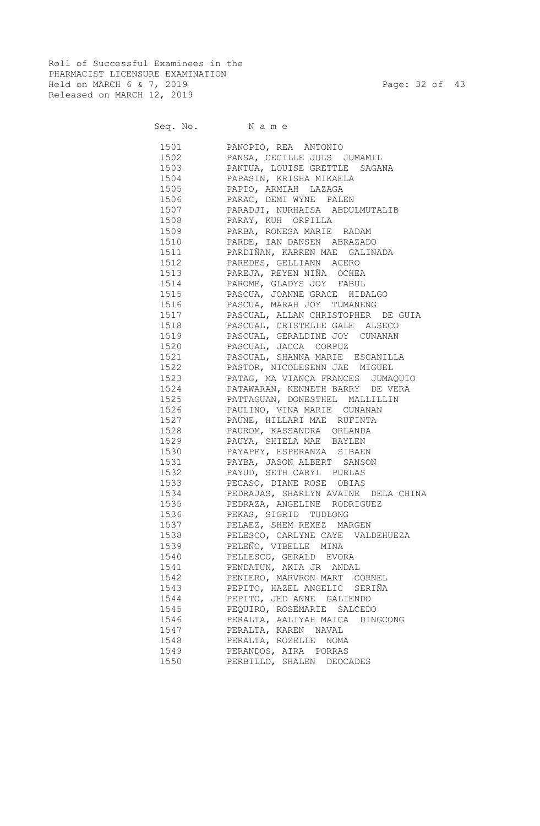Roll of Successful Examinees in the PHARMACIST LICENSURE EXAMINATION Held on MARCH 6 & 7, 2019 Page: 32 of 43 Released on MARCH 12, 2019

Seq. No. Name

 1501 PANOPIO, REA ANTONIO 1502 PANSA, CECILLE JULS JUMAMIL 1503 PANTUA, LOUISE GRETTLE SAGANA 1504 PAPASIN, KRISHA MIKAELA 1505 PAPIO, ARMIAH LAZAGA 1506 PARAC, DEMI WYNE PALEN 1507 PARADJI, NURHAISA ABDULMUTALIB 1508 PARAY, KUH ORPILLA 1509 PARBA, RONESA MARIE RADAM 1510 PARDE, IAN DANSEN ABRAZADO 1511 PARDIÑAN, KARREN MAE GALINADA 1512 PAREDES, GELLIANN ACERO 1513 PAREJA, REYEN NIÑA OCHEA 1514 PAROME, GLADYS JOY FABUL 1515 PASCUA, JOANNE GRACE HIDALGO 1516 PASCUA, MARAH JOY TUMANENG 1517 PASCUAL, ALLAN CHRISTOPHER DE GUIA 1518 PASCUAL, CRISTELLE GALE ALSECO 1519 PASCUAL, GERALDINE JOY CUNANAN 1520 PASCUAL, JACCA CORPUZ 1521 PASCUAL, SHANNA MARIE ESCANILLA 1522 PASTOR, NICOLESENN JAE MIGUEL 1523 PATAG, MA VIANCA FRANCES JUMAQUIO 1524 PATAWARAN, KENNETH BARRY DE VERA 1525 PATTAGUAN, DONESTHEL MALLILLIN 1526 PAULINO, VINA MARIE CUNANAN 1527 PAUNE, HILLARI MAE RUFINTA 1528 PAUROM, KASSANDRA ORLANDA 1529 PAUYA, SHIELA MAE BAYLEN 1530 PAYAPEY, ESPERANZA SIBAEN 1531 PAYBA, JASON ALBERT SANSON 1532 PAYUD, SETH CARYL PURLAS 1533 PECASO, DIANE ROSE OBIAS 1534 PEDRAJAS, SHARLYN AVAINE DELA CHINA 1535 PEDRAZA, ANGELINE RODRIGUEZ 1536 PEKAS, SIGRID TUDLONG 1537 PELAEZ, SHEM REXEZ MARGEN 1538 PELESCO, CARLYNE CAYE VALDEHUEZA 1539 PELEÑO, VIBELLE MINA 1540 PELLESCO, GERALD EVORA 1541 PENDATUN, AKIA JR ANDAL 1542 PENIERO, MARVRON MART CORNEL 1543 PEPITO, HAZEL ANGELIC SERIÑA 1544 PEPITO, JED ANNE GALIENDO 1545 PEQUIRO, ROSEMARIE SALCEDO 1546 PERALTA, AALIYAH MAICA DINGCONG 1547 PERALTA, KAREN NAVAL 1548 PERALTA, ROZELLE NOMA 1549 PERANDOS, AIRA PORRAS 1550 PERBILLO, SHALEN DEOCADES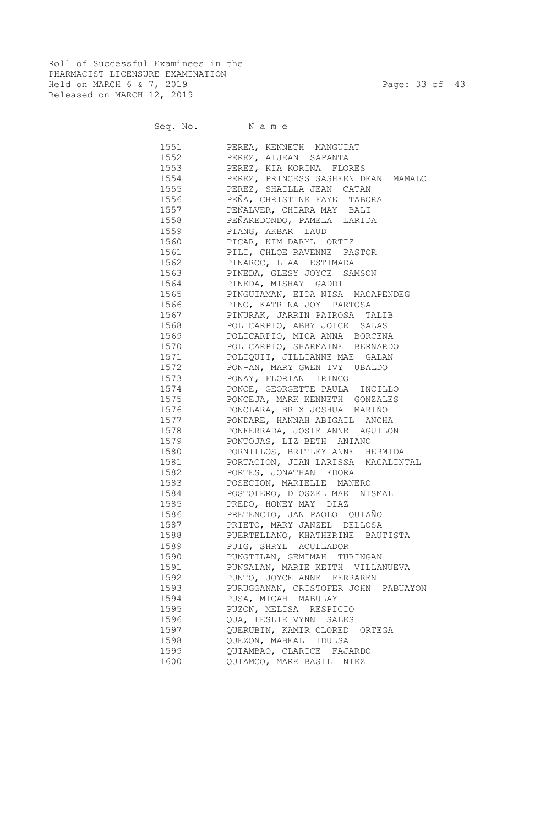Roll of Successful Examinees in the PHARMACIST LICENSURE EXAMINATION Held on MARCH 6 & 7, 2019 Page: 33 of 43 Released on MARCH 12, 2019

|      | Seq. No. Name                            |
|------|------------------------------------------|
|      | 1551 PEREA, KENNETH MANGUIAT             |
|      | 1552 PEREZ, AIJEAN SAPANTA               |
|      | 1553 PEREZ, KIA KORINA FLORES            |
|      | 1554 PEREZ, PRINCESS SASHEEN DEAN MAMALO |
|      | 1555 PEREZ, SHAILLA JEAN CATAN           |
|      | 1556 PEÑA, CHRISTINE FAYE TABORA         |
|      | 1557 PEÑALVER, CHIARA MAY BALI           |
|      | 1558 PEÑAREDONDO, PAMELA LARIDA          |
|      | 1559 PIANG, AKBAR LAUD                   |
|      | 1560 PICAR, KIM DARYL ORTIZ              |
|      | 1561 PILI, CHLOE RAVENNE PASTOR          |
|      | 1562 PINAROC, LIAA ESTIMADA              |
|      | 1563 PINEDA, GLESY JOYCE SAMSON          |
|      | 1564 PINEDA, MISHAY GADDI                |
| 1565 | PINGUIAMAN, EIDA NISA MACAPENDEG         |
| 1566 | PINO, KATRINA JOY PARTOSA                |
| 1567 | PINURAK, JARRIN PAIROSA TALIB            |
| 1568 | POLICARPIO, ABBY JOICE SALAS             |
| 1569 | POLICARPIO, MICA ANNA BORCENA            |
| 1570 | POLICARPIO, SHARMAINE BERNARDO           |
| 1571 | POLIQUIT, JILLIANNE MAE GALAN            |
| 1572 | PON-AN, MARY GWEN IVY UBALDO             |
| 1573 | PONAY, FLORIAN IRINCO                    |
| 1574 | PONCE, GEORGETTE PAULA INCILLO           |
| 1575 | PONCEJA, MARK KENNETH GONZALES           |
| 1576 | PONCLARA, BRIX JOSHUA MARIÑO             |
| 1577 | PONDARE, HANNAH ABIGAIL ANCHA            |
| 1578 | PONFERRADA, JOSIE ANNE AGUILON           |
| 1579 | PONTOJAS, LIZ BETH ANIANO                |
| 1580 | PORNILLOS, BRITLEY ANNE HERMIDA          |
| 1581 | PORTACION, JIAN LARISSA MACALINTAL       |
| 1582 | PORTES, JONATHAN EDORA                   |
| 1583 | POSECION, MARIELLE MANERO                |
| 1584 | POSTOLERO, DIOSZEL MAE NISMAL            |
| 1585 | PREDO, HONEY MAY DIAZ                    |
|      | 1586 PRETENCIO, JAN PAOLO QUIAÑO         |
| 1587 | PRIETO, MARY JANZEL DELLOSA              |
| 1588 | PUERTELLANO, KHATHERINE BAUTISTA         |
| 1589 | PUIG, SHRYL ACULLADOR                    |
| 1590 | PUNGTILAN, GEMIMAH TURINGAN              |
| 1591 | PUNSALAN, MARIE KEITH VILLANUEVA         |
| 1592 | PUNTO, JOYCE ANNE FERRAREN               |
| 1593 | PURUGGANAN, CRISTOFER JOHN PABUAYON      |
| 1594 | PUSA, MICAH MABULAY                      |
| 1595 | PUZON, MELISA RESPICIO                   |
| 1596 | QUA, LESLIE VYNN SALES                   |
| 1597 | QUERUBIN, KAMIR CLORED ORTEGA            |
| 1598 | QUEZON, MABEAL IDULSA                    |
| 1599 | QUIAMBAO, CLARICE FAJARDO                |
| 1600 | QUIAMCO, MARK BASIL NIEZ                 |
|      |                                          |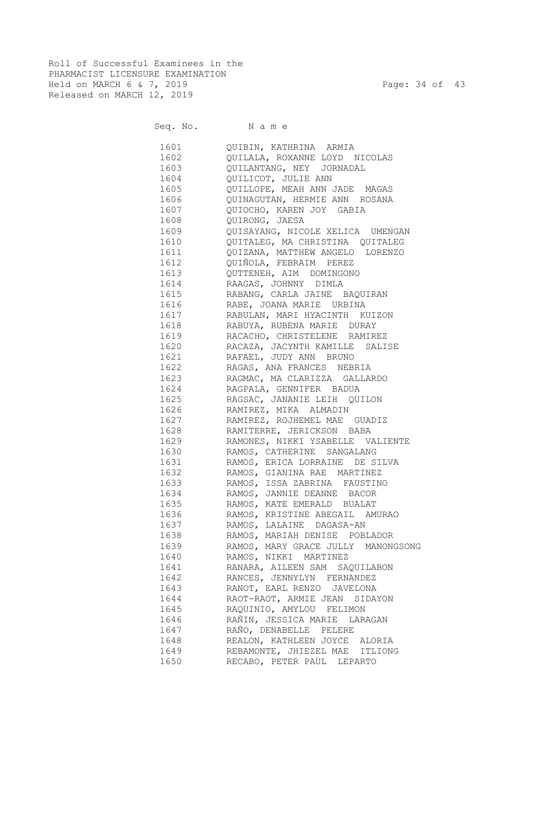Roll of Successful Examinees in the PHARMACIST LICENSURE EXAMINATION Held on MARCH 6 & 7, 2019 Page: 34 of 43 Released on MARCH 12, 2019

Seq. No. Name

| 1601 | QUIBIN, KATHRINA ARMIA             |
|------|------------------------------------|
| 1602 | OUILALA, ROXANNE LOYD NICOLAS      |
| 1603 | QUILANTANG, NEY JORNADAL           |
| 1604 | QUILICOT, JULIE ANN                |
| 1605 | OUILLOPE, MEAH ANN JADE MAGAS      |
| 1606 | QUINAGUTAN, HERMIE ANN ROSANA      |
| 1607 | QUIOCHO, KAREN JOY GABIA           |
| 1608 | OUIRONG, JAESA                     |
| 1609 | QUISAYANG, NICOLE XELICA UMENGAN   |
| 1610 | QUITALEG, MA CHRISTINA QUITALEG    |
| 1611 | QUIZANA, MATTHEW ANGELO LORENZO    |
| 1612 | QUIÑOLA, FEBRAIM PEREZ             |
|      |                                    |
| 1613 | QUTTENEH, AIM DOMINGONO            |
| 1614 | RAAGAS, JOHNNY DIMLA               |
| 1615 | RABANG, CARLA JAINE BAQUIRAN       |
| 1616 | RABE, JOANA MARIE URBINA           |
| 1617 | RABULAN, MARI HYACINTH KUIZON      |
| 1618 | RABUYA, RUBENA MARIE DURAY         |
| 1619 | RACACHO, CHRISTELENE RAMIREZ       |
| 1620 | RACAZA, JACYNTH KAMILLE SALISE     |
| 1621 | RAFAEL, JUDY ANN BRUNO             |
| 1622 | RAGAS, ANA FRANCES NEBRIA          |
| 1623 | RAGMAC, MA CLARIZZA GALLARDO       |
| 1624 | RAGPALA, GENNIFER BADUA            |
| 1625 | RAGSAC, JANANIE LEIH QUILON        |
| 1626 | RAMIREZ, MIKA ALMADIN              |
| 1627 | RAMIREZ, ROJHEMEL MAE GUADIZ       |
| 1628 | RAMITERRE, JERICKSON BABA          |
| 1629 | RAMONES, NIKKI YSABELLE VALIENTE   |
| 1630 | RAMOS, CATHERINE SANGALANG         |
| 1631 | RAMOS, ERICA LORRAINE DE SILVA     |
| 1632 | RAMOS, GIANINA RAE MARTINEZ        |
| 1633 | RAMOS, ISSA ZABRINA FAUSTINO       |
| 1634 | RAMOS, JANNIE DEANNE BACOR         |
| 1635 | RAMOS, KATE EMERALD BUALAT         |
| 1636 | RAMOS, KRISTINE ABEGAIL AMURAO     |
| 1637 | RAMOS, LALAINE DAGASA-AN           |
| 1638 | RAMOS, MARIAH DENISE POBLADOR      |
| 1639 | RAMOS, MARY GRACE JULLY MANONGSONG |
| 1640 | RAMOS, NIKKI MARTINEZ              |
| 1641 | RANARA, AILEEN SAM SAQUILABON      |
| 1642 | RANCES, JENNYLYN FERNANDEZ         |
| 1643 | RANOT, EARL RENZO JAVELONA         |
| 1644 | RAOT-RAOT, ARMIE JEAN SIDAYON      |
| 1645 | RAQUINIO, AMYLOU FELIMON           |
| 1646 | RAÑIN, JESSICA MARIE LARAGAN       |
| 1647 | RAÑO, DENABELLE PELERE             |
| 1648 | REALON, KATHLEEN JOYCE ALORIA      |
| 1649 | REBAMONTE, JHIEZEL MAE ITLIONG     |
|      |                                    |
| 1650 | RECABO, PETER PAUL LEPARTO         |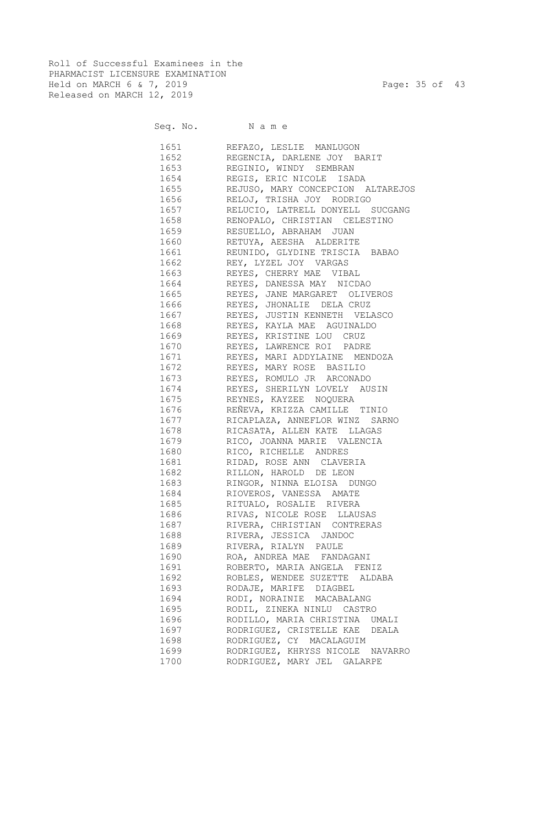Roll of Successful Examinees in the PHARMACIST LICENSURE EXAMINATION Held on MARCH 6 & 7, 2019 Page: 35 of 43 Released on MARCH 12, 2019

Seq. No. Name

|                                                                                                                                                                                                                                 | 1651 REFAZO, LESLIE MANLUGON           |
|---------------------------------------------------------------------------------------------------------------------------------------------------------------------------------------------------------------------------------|----------------------------------------|
|                                                                                                                                                                                                                                 | 1652 REGENCIA, DARLENE JOY BARIT       |
| 1653                                                                                                                                                                                                                            | REGINIO, WINDY SEMBRAN                 |
|                                                                                                                                                                                                                                 | 1654 REGIS, ERIC NICOLE ISADA          |
|                                                                                                                                                                                                                                 | 1655 REJUSO, MARY CONCEPCION ALTAREJOS |
| 1656                                                                                                                                                                                                                            | RELOJ, TRISHA JOY RODRIGO              |
| 1657                                                                                                                                                                                                                            | RELUCIO, LATRELL DONYELL SUCGANG       |
| 1658                                                                                                                                                                                                                            | RENOPALO, CHRISTIAN CELESTINO          |
| 1659                                                                                                                                                                                                                            | RESUELLO, ABRAHAM JUAN                 |
| 1660                                                                                                                                                                                                                            | RETUYA, AEESHA ALDERITE                |
| 1661                                                                                                                                                                                                                            | REUNIDO, GLYDINE TRISCIA BABAO         |
| 1662                                                                                                                                                                                                                            | REY, LYZEL JOY VARGAS                  |
| 1663                                                                                                                                                                                                                            | REYES, CHERRY MAE VIBAL                |
| 1664                                                                                                                                                                                                                            | REYES, DANESSA MAY NICDAO              |
| 1665                                                                                                                                                                                                                            | REYES, JANE MARGARET OLIVEROS          |
| 1666                                                                                                                                                                                                                            | REYES, JHONALIE DELA CRUZ              |
| 1667                                                                                                                                                                                                                            | REYES, JUSTIN KENNETH VELASCO          |
| 1668                                                                                                                                                                                                                            | REYES, KAYLA MAE AGUINALDO             |
| 1669                                                                                                                                                                                                                            | REYES, KRISTINE LOU CRUZ               |
| 1670                                                                                                                                                                                                                            | REYES, LAWRENCE ROI PADRE              |
| 1671                                                                                                                                                                                                                            | REYES, MARI ADDYLAINE MENDOZA          |
|                                                                                                                                                                                                                                 | 1672 REYES, MARY ROSE BASILIO          |
|                                                                                                                                                                                                                                 | 1673 REYES, ROMULO JR ARCONADO         |
|                                                                                                                                                                                                                                 | 1674 REYES, SHERILYN LOVELY AUSIN      |
|                                                                                                                                                                                                                                 | 1675 REYNES, KAYZEE NOQUERA            |
|                                                                                                                                                                                                                                 | 1676 REÑEVA, KRIZZA CAMILLE TINIO      |
|                                                                                                                                                                                                                                 | 1677 RICAPLAZA, ANNEFLOR WINZ SARNO    |
|                                                                                                                                                                                                                                 | 1678 RICASATA, ALLEN KATE LLAGAS       |
|                                                                                                                                                                                                                                 | 1679 RICO, JOANNA MARIE VALENCIA       |
|                                                                                                                                                                                                                                 | 1680 RICO, RICHELLE ANDRES             |
|                                                                                                                                                                                                                                 | 1681 RIDAD, ROSE ANN CLAVERIA          |
|                                                                                                                                                                                                                                 | 1682 RILLON, HAROLD DE LEON            |
|                                                                                                                                                                                                                                 | 1683 RINGOR, NINNA ELOISA DUNGO        |
|                                                                                                                                                                                                                                 | 1684 RIOVEROS, VANESSA AMATE           |
|                                                                                                                                                                                                                                 |                                        |
|                                                                                                                                                                                                                                 | 1686 RIVAS, NICOLE ROSE LLAUSAS        |
| 1687 — 1687 — 1688 — 1690 — 1690 — 1690 — 1690 — 1690 — 1690 — 1690 — 1690 — 1690 — 1690 — 1690 — 1690 — 1690 — 1690 — 1690 — 1690 — 1690 — 1690 — 1690 — 1690 — 1690 — 1690 — 1690 — 1690 — 1690 — 1690 — 1690 — 1690 — 1690 — | RIVERA, CHRISTIAN CONTRERAS            |
| 1688                                                                                                                                                                                                                            | RIVERA, JESSICA JANDOC                 |
| 1689                                                                                                                                                                                                                            | RIVERA, RIALYN PAULE                   |
| 1690                                                                                                                                                                                                                            | ROA, ANDREA MAE FANDAGANI              |
| 1691                                                                                                                                                                                                                            | ROBERTO, MARIA ANGELA FENIZ            |
| 1692                                                                                                                                                                                                                            | ROBLES, WENDEE SUZETTE ALDABA          |
| 1693                                                                                                                                                                                                                            | RODAJE, MARIFE DIAGBEL                 |
| 1694                                                                                                                                                                                                                            | RODI, NORAINIE MACABALANG              |
| 1695                                                                                                                                                                                                                            | RODIL, ZINEKA NINLU CASTRO             |
| 1696                                                                                                                                                                                                                            | RODILLO, MARIA CHRISTINA UMALI         |
| 1697                                                                                                                                                                                                                            | RODRIGUEZ, CRISTELLE KAE DEALA         |
| 1698                                                                                                                                                                                                                            | RODRIGUEZ, CY MACALAGUIM               |
| 1699                                                                                                                                                                                                                            | RODRIGUEZ, KHRYSS NICOLE NAVARRO       |
| 1700                                                                                                                                                                                                                            | RODRIGUEZ, MARY JEL GALARPE            |
|                                                                                                                                                                                                                                 |                                        |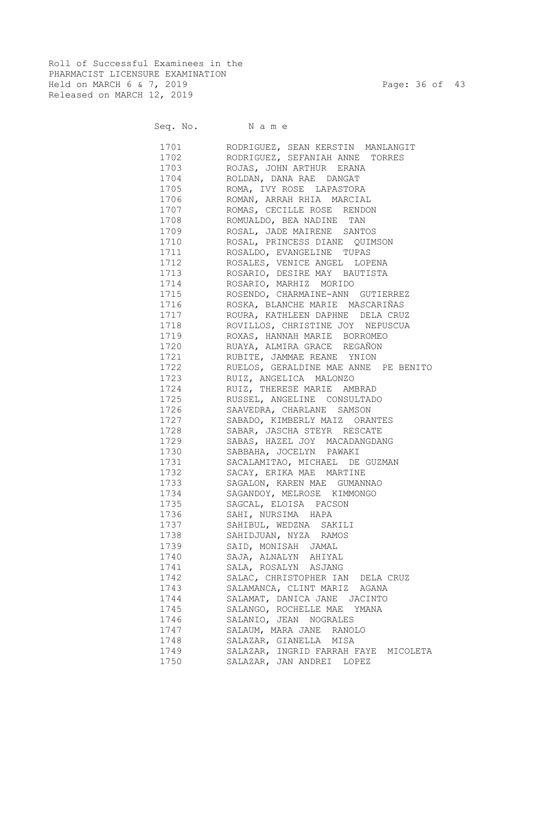Roll of Successful Examinees in the PHARMACIST LICENSURE EXAMINATION Held on MARCH 6 & 7, 2019 Page: 36 of 43 Released on MARCH 12, 2019

Seq. No. Name

 1701 RODRIGUEZ, SEAN KERSTIN MANLANGIT 1702 RODRIGUEZ, SEFANIAH ANNE TORRES 1703 ROJAS, JOHN ARTHUR ERANA 1704 ROLDAN, DANA RAE DANGAT 1705 ROMA, IVY ROSE LAPASTORA 1706 ROMAN, ARRAH RHIA MARCIAL 1707 ROMAS, CECILLE ROSE RENDON 1708 ROMUALDO, BEA NADINE TAN 1709 ROSAL, JADE MAIRENE SANTOS 1710 ROSAL, PRINCESS DIANE QUIMSON 1711 ROSALDO, EVANGELINE TUPAS 1712 ROSALES, VENICE ANGEL LOPENA 1713 ROSARIO, DESIRE MAY BAUTISTA 1714 ROSARIO, MARHIZ MORIDO 1715 ROSENDO, CHARMAINE-ANN GUTIERREZ 1716 ROSKA, BLANCHE MARIE MASCARIÑAS 1717 ROURA, KATHLEEN DAPHNE DELA CRUZ 1718 ROVILLOS, CHRISTINE JOY NEPUSCUA 1719 ROXAS, HANNAH MARIE BORROMEO 1720 RUAYA, ALMIRA GRACE REGAÑON 1721 RUBITE, JAMMAE REANE YNION 1722 RUELOS, GERALDINE MAE ANNE PE BENITO 1723 RUIZ, ANGELICA MALONZO 1724 RUIZ, THERESE MARIE AMBRAD 1725 RUSSEL, ANGELINE CONSULTADO 1726 SAAVEDRA, CHARLANE SAMSON 1727 SABADO, KIMBERLY MAIZ ORANTES 1728 SABAR, JASCHA STEYR RESCATE 1729 SABAS, HAZEL JOY MACADANGDANG 1730 SABBAHA, JOCELYN PAWAKI 1731 SACALAMITAO, MICHAEL DE GUZMAN 1732 SACAY, ERIKA MAE MARTINE 1733 SAGALON, KAREN MAE GUMANNAO 1734 SAGANDOY, MELROSE KIMMONGO 1735 SAGCAL, ELOISA PACSON 1736 SAHI, NURSIMA HAPA 1737 SAHIBUL, WEDZNA SAKILI 1738 SAHIDJUAN, NYZA RAMOS 1739 SAID, MONISAH JAMAL 1740 SAJA, ALNALYN AHIYAL 1741 SALA, ROSALYN ASJANG 1742 SALAC, CHRISTOPHER IAN DELA CRUZ 1743 SALAMANCA, CLINT MARIZ AGANA 1744 SALAMAT, DANICA JANE JACINTO 1745 SALANGO, ROCHELLE MAE YMANA 1746 SALANIO, JEAN NOGRALES 1747 SALAUM, MARA JANE RANOLO 1748 SALAZAR, GIANELLA MISA 1749 SALAZAR, INGRID FARRAH FAYE MICOLETA 1750 SALAZAR, JAN ANDREI LOPEZ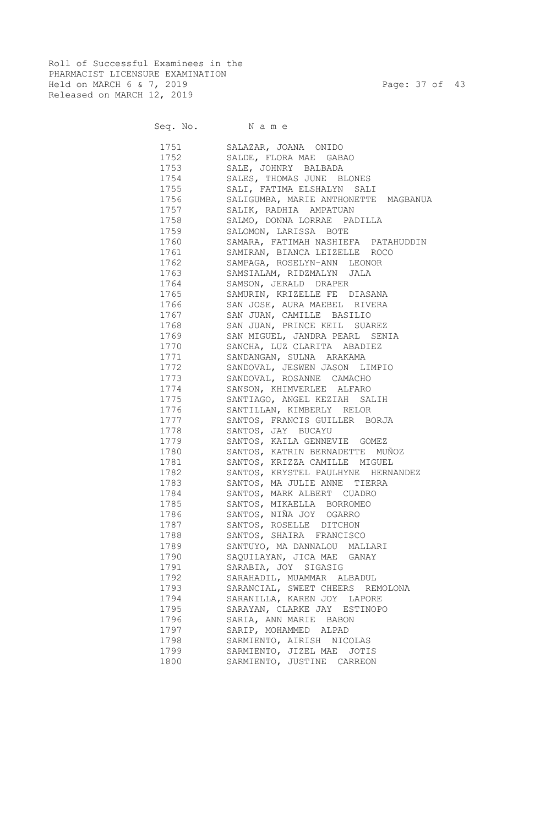Roll of Successful Examinees in the PHARMACIST LICENSURE EXAMINATION Held on MARCH 6 & 7, 2019 Page: 37 of 43 Released on MARCH 12, 2019

| Seq. No. |  | Name |  |
|----------|--|------|--|
|          |  |      |  |

| 1751 | SALAZAR, JOANA ONIDO                 |
|------|--------------------------------------|
| 1752 | SALDE, FLORA MAE GABAO               |
| 1753 | SALE, JOHNRY BALBADA                 |
| 1754 | SALES, THOMAS JUNE BLONES            |
| 1755 | SALI, FATIMA ELSHALYN SALI           |
| 1756 | SALIGUMBA, MARIE ANTHONETTE MAGBANUA |
| 1757 | SALIK, RADHIA AMPATUAN               |
| 1758 | SALMO, DONNA LORRAE PADILLA          |
| 1759 | SALOMON, LARISSA BOTE                |
| 1760 | SAMARA, FATIMAH NASHIEFA PATAHUDDIN  |
| 1761 | SAMIRAN, BIANCA LEIZELLE ROCO        |
| 1762 | SAMPAGA, ROSELYN-ANN LEONOR          |
| 1763 | SAMSIALAM, RIDZMALYN JALA            |
| 1764 | SAMSON, JERALD DRAPER                |
| 1765 | SAMURIN, KRIZELLE FE DIASANA         |
| 1766 | SAN JOSE, AURA MAEBEL RIVERA         |
| 1767 | SAN JUAN, CAMILLE BASILIO            |
| 1768 | SAN JUAN, PRINCE KEIL SUAREZ         |
| 1769 | SAN MIGUEL, JANDRA PEARL SENIA       |
| 1770 | SANCHA, LUZ CLARITA ABADIEZ          |
| 1771 | SANDANGAN, SULNA ARAKAMA             |
| 1772 | SANDOVAL, JESWEN JASON LIMPIO        |
| 1773 | SANDOVAL, ROSANNE CAMACHO            |
| 1774 | SANSON, KHIMVERLEE ALFARO            |
| 1775 | SANTIAGO, ANGEL KEZIAH SALIH         |
| 1776 | SANTILLAN, KIMBERLY RELOR            |
| 1777 | SANTOS, FRANCIS GUILLER BORJA        |
| 1778 | SANTOS, JAY BUCAYU                   |
| 1779 | SANTOS, KAILA GENNEVIE GOMEZ         |
| 1780 | SANTOS, KATRIN BERNADETTE MUÑOZ      |
| 1781 | SANTOS, KRIZZA CAMILLE MIGUEL        |
| 1782 | SANTOS, KRYSTEL PAULHYNE HERNANDEZ   |
| 1783 | SANTOS, MA JULIE ANNE TIERRA         |
| 1784 | SANTOS, MARK ALBERT CUADRO           |
| 1785 | SANTOS, MIKAELLA BORROMEO            |
| 1786 | SANTOS, NIÑA JOY OGARRO              |
| 1787 | SANTOS, ROSELLE DITCHON              |
| 1788 | SANTOS, SHAIRA FRANCISCO             |
| 1789 | SANTUYO, MA DANNALOU MALLARI         |
| 1790 | SAQUILAYAN, JICA MAE GANAY           |
| 1791 | SARABIA, JOY SIGASIG                 |
| 1792 | SARAHADIL, MUAMMAR ALBADUL           |
| 1793 | SARANCIAL, SWEET CHEERS REMOLONA     |
| 1794 | SARANILLA, KAREN JOY LAPORE          |
| 1795 | SARAYAN, CLARKE JAY ESTINOPO         |
| 1796 | SARIA, ANN MARIE BABON               |
| 1797 | SARIP, MOHAMMED ALPAD                |
| 1798 | SARMIENTO, AIRISH NICOLAS            |
| 1799 | SARMIENTO, JIZEL MAE<br>JOTIS        |
| 1800 | SARMIENTO, JUSTINE CARREON           |
|      |                                      |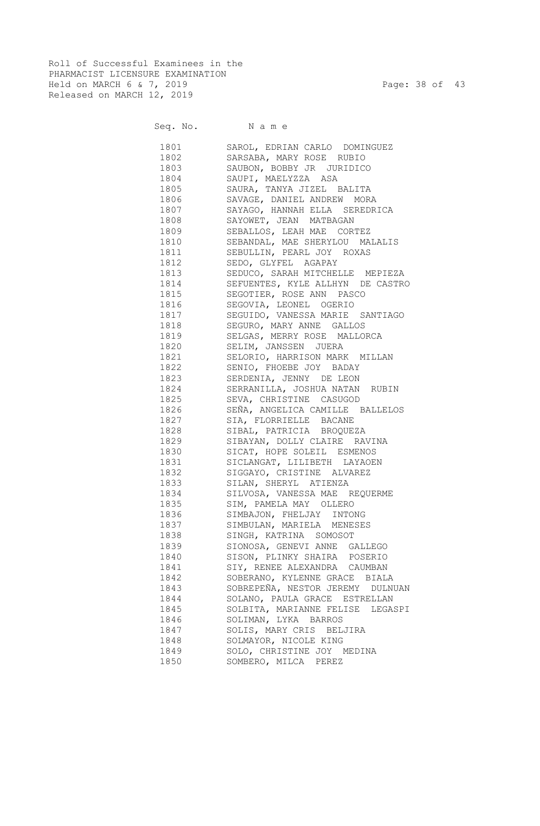Roll of Successful Examinees in the PHARMACIST LICENSURE EXAMINATION Held on MARCH 6 & 7, 2019 Page: 38 of 43 Released on MARCH 12, 2019

Seq. No. Name

 1801 SAROL, EDRIAN CARLO DOMINGUEZ 1802 SARSABA, MARY ROSE RUBIO 1803 SAUBON, BOBBY JR JURIDICO 1804 SAUPI, MAELYZZA ASA 1805 SAURA, TANYA JIZEL BALITA 1806 SAVAGE, DANIEL ANDREW MORA 1807 SAYAGO, HANNAH ELLA SEREDRICA 1808 SAYOWET, JEAN MATBAGAN 1809 SEBALLOS, LEAH MAE CORTEZ 1810 SEBANDAL, MAE SHERYLOU MALALIS 1811 SEBULLIN, PEARL JOY ROXAS 1812 SEDO, GLYFEL AGAPAY 1813 SEDUCO, SARAH MITCHELLE MEPIEZA 1814 SEFUENTES, KYLE ALLHYN DE CASTRO 1815 SEGOTIER, ROSE ANN PASCO 1816 SEGOVIA, LEONEL OGERIO 1817 SEGUIDO, VANESSA MARIE SANTIAGO 1818 SEGURO, MARY ANNE GALLOS 1819 SELGAS, MERRY ROSE MALLORCA 1820 SELIM, JANSSEN JUERA 1821 SELORIO, HARRISON MARK MILLAN 1822 SENIO, FHOEBE JOY BADAY 1823 SERDENIA, JENNY DE LEON 1824 SERRANILLA, JOSHUA NATAN RUBIN 1825 SEVA, CHRISTINE CASUGOD 1826 SEÑA, ANGELICA CAMILLE BALLELOS 1827 SIA, FLORRIELLE BACANE 1828 SIBAL, PATRICIA BROQUEZA 1829 SIBAYAN, DOLLY CLAIRE RAVINA 1830 SICAT, HOPE SOLEIL ESMENOS 1831 SICLANGAT, LILIBETH LAYAOEN 1832 SIGGAYO, CRISTINE ALVAREZ 1833 SILAN, SHERYL ATIENZA 1834 SILVOSA, VANESSA MAE REQUERME 1835 SIM, PAMELA MAY OLLERO 1836 SIMBAJON, FHELJAY INTONG 1837 SIMBULAN, MARIELA MENESES 1838 SINGH, KATRINA SOMOSOT 1839 SIONOSA, GENEVI ANNE GALLEGO 1840 SISON, PLINKY SHAIRA POSERIO 1841 SIY, RENEE ALEXANDRA CAUMBAN 1842 SOBERANO, KYLENNE GRACE BIALA 1843 SOBREPEÑA, NESTOR JEREMY DULNUAN 1844 SOLANO, PAULA GRACE ESTRELLAN 1845 SOLBITA, MARIANNE FELISE LEGASPI 1846 SOLIMAN, LYKA BARROS 1847 SOLIS, MARY CRIS BELJIRA 1848 SOLMAYOR, NICOLE KING 1849 SOLO, CHRISTINE JOY MEDINA 1850 SOMBERO, MILCA PEREZ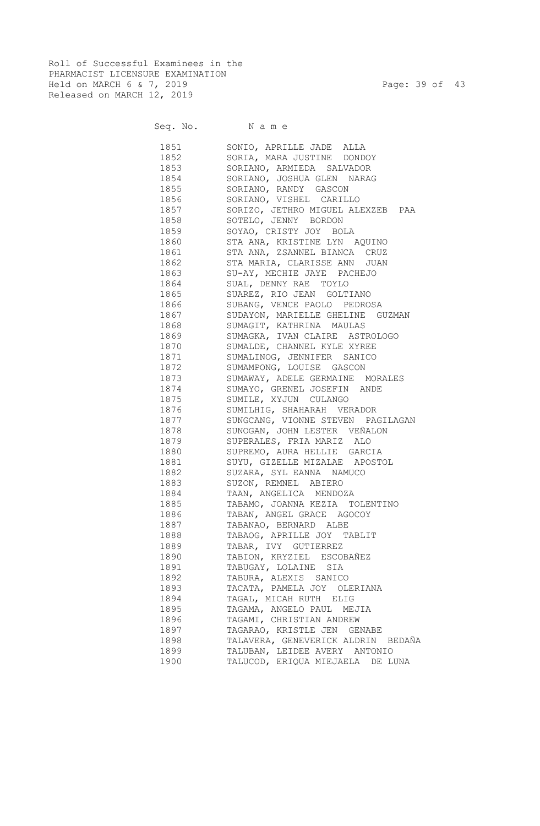Roll of Successful Examinees in the PHARMACIST LICENSURE EXAMINATION Held on MARCH 6 & 7, 2019 Page: 39 of 43 Released on MARCH 12, 2019

Seq. No. Name

 1851 SONIO, APRILLE JADE ALLA 1852 SORIA, MARA JUSTINE DONDOY 1853 SORIANO, ARMIEDA SALVADOR 1854 SORIANO, JOSHUA GLEN NARAG 1855 SORIANO, RANDY GASCON 1856 SORIANO, VISHEL CARILLO 1857 SORIZO, JETHRO MIGUEL ALEXZEB PAA 1858 SOTELO, JENNY BORDON 1859 SOYAO, CRISTY JOY BOLA 1860 STA ANA, KRISTINE LYN AQUINO 1861 STA ANA, ZSANNEL BIANCA CRUZ 1862 STA MARIA, CLARISSE ANN JUAN 1863 SU-AY, MECHIE JAYE PACHEJO 1864 SUAL, DENNY RAE TOYLO 1865 SUAREZ, RIO JEAN GOLTIANO 1866 SUBANG, VENCE PAOLO PEDROSA 1867 SUDAYON, MARIELLE GHELINE GUZMAN 1868 SUMAGIT, KATHRINA MAULAS 1869 SUMAGKA, IVAN CLAIRE ASTROLOGO 1870 SUMALDE, CHANNEL KYLE XYREE 1871 SUMALINOG, JENNIFER SANICO 1872 SUMAMPONG, LOUISE GASCON<br>1873 SUMAWAY, ADELE GERMAINE 1 SUMAWAY, ADELE GERMAINE MORALES 1874 SUMAYO, GRENEL JOSEFIN ANDE 1875 SUMILE, XYJUN CULANGO 1876 SUMILHIG, SHAHARAH VERADOR 1877 SUNGCANG, VIONNE STEVEN PAGILAGAN 1878 SUNOGAN, JOHN LESTER VEÑALON 1879 SUPERALES, FRIA MARIZ ALO 1880 SUPREMO, AURA HELLIE GARCIA 1881 SUYU, GIZELLE MIZALAE APOSTOL 1882 SUZARA, SYL EANNA NAMUCO 1883 SUZON, REMNEL ABIERO 1884 TAAN, ANGELICA MENDOZA 1885 TABAMO, JOANNA KEZIA TOLENTINO 1886 TABAN, ANGEL GRACE AGOCOY 1887 TABANAO, BERNARD ALBE 1888 TABAOG, APRILLE JOY TABLIT 1889 TABAR, IVY GUTIERREZ 1890 TABION, KRYZIEL ESCOBAÑEZ 1891 TABUGAY, LOLAINE SIA 1892 TABURA, ALEXIS SANICO 1893 TACATA, PAMELA JOY OLERIANA 1894 TAGAL, MICAH RUTH ELIG 1895 TAGAMA, ANGELO PAUL MEJIA 1896 TAGAMI, CHRISTIAN ANDREW 1897 TAGARAO, KRISTLE JEN GENABE 1898 TALAVERA, GENEVERICK ALDRIN BEDAÑA 1899 TALUBAN, LEIDEE AVERY ANTONIO 1900 TALUCOD, ERIQUA MIEJAELA DE LUNA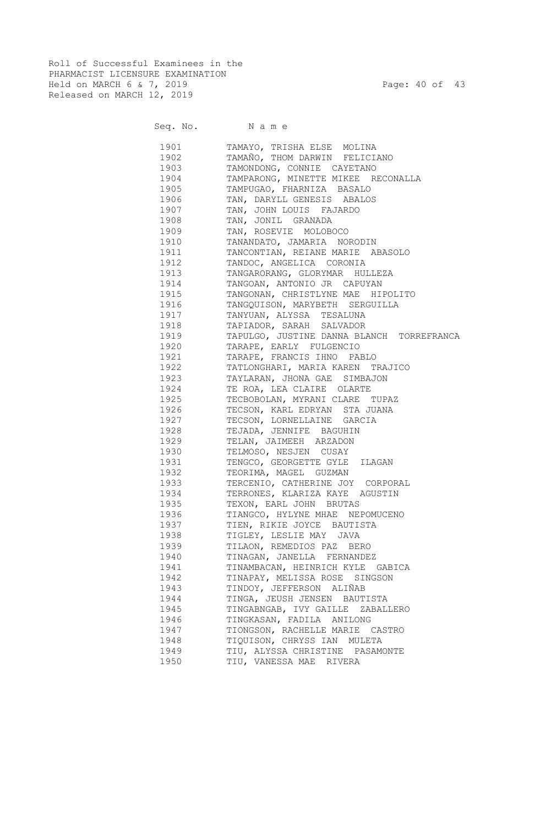Roll of Successful Examinees in the PHARMACIST LICENSURE EXAMINATION Held on MARCH 6 & 7, 2019 Page: 40 of 43 Released on MARCH 12, 2019

|                                                                                                                                                                                                                                 | Seq. No. Name                             |
|---------------------------------------------------------------------------------------------------------------------------------------------------------------------------------------------------------------------------------|-------------------------------------------|
| 1901                                                                                                                                                                                                                            | TAMAYO, TRISHA ELSE MOLINA                |
| 1902                                                                                                                                                                                                                            | TAMAÑO, THOM DARWIN FELICIANO             |
| 1903                                                                                                                                                                                                                            | TAMONDONG, CONNIE CAYETANO                |
| 1904                                                                                                                                                                                                                            | TAMPARONG, MINETTE MIKEE RECONALLA        |
| 1905                                                                                                                                                                                                                            | TAMPUGAO, FHARNIZA BASALO                 |
| 1906                                                                                                                                                                                                                            | TAN, DARYLL GENESIS ABALOS                |
| 1907                                                                                                                                                                                                                            | TAN, JOHN LOUIS FAJARDO                   |
| 1908                                                                                                                                                                                                                            | TAN, JONIL GRANADA                        |
| 1909                                                                                                                                                                                                                            | TAN, ROSEVIE MOLOBOCO                     |
| 1910                                                                                                                                                                                                                            | TANANDATO, JAMARIA NORODIN                |
| 1911                                                                                                                                                                                                                            | TANCONTIAN, REIANE MARIE ABASOLO          |
| 1912                                                                                                                                                                                                                            | TANDOC, ANGELICA CORONIA                  |
| 1913                                                                                                                                                                                                                            | TANGARORANG, GLORYMAR HULLEZA             |
| 1914                                                                                                                                                                                                                            | TANGOAN, ANTONIO JR CAPUYAN               |
| 1915                                                                                                                                                                                                                            | TANGONAN, CHRISTLYNE MAE HIPOLITO         |
| 1916                                                                                                                                                                                                                            | TANGQUISON, MARYBETH SERGUILLA            |
| 1917                                                                                                                                                                                                                            | TANYUAN, ALYSSA TESALUNA                  |
| 1918                                                                                                                                                                                                                            | TAPIADOR, SARAH SALVADOR                  |
| 1919                                                                                                                                                                                                                            | TAPULGO, JUSTINE DANNA BLANCH TORREFRANCA |
| 1920                                                                                                                                                                                                                            | TARAPE, EARLY FULGENCIO                   |
| 1921                                                                                                                                                                                                                            | TARAPE, FRANCIS IHNO PABLO                |
| 1922                                                                                                                                                                                                                            | TATLONGHARI, MARIA KAREN TRAJICO          |
| 1923                                                                                                                                                                                                                            | TAYLARAN, JHONA GAE SIMBAJON              |
| 1924                                                                                                                                                                                                                            | TE ROA, LEA CLAIRE OLARTE                 |
| 1925                                                                                                                                                                                                                            | TECBOBOLAN, MYRANI CLARE TUPAZ            |
| 1926                                                                                                                                                                                                                            | TECSON, KARL EDRYAN STA JUANA             |
| 1927                                                                                                                                                                                                                            | TECSON, LORNELLAINE GARCIA                |
| 1928   1928                                                                                                                                                                                                                     | TEJADA, JENNIFE BAGUHIN                   |
| 1929                                                                                                                                                                                                                            | TELAN, JAIMEEH ARZADON                    |
| 1930 000                                                                                                                                                                                                                        | TELMOSO, NESJEN CUSAY                     |
| 1931 1993                                                                                                                                                                                                                       | TENGCO, GEORGETTE GYLE ILAGAN             |
| 1932   1932                                                                                                                                                                                                                     | TEORIMA, MAGEL GUZMAN                     |
| 1933 — 1933 — 1934 — 1935 — 1936 — 1937 — 1940 — 1941 — 1941 — 1941 — 1941 — 1941 — 1941 — 1941 — 1941 — 1941 — 1941 — 1941 — 1941 — 1941 — 1941 — 1941 — 1941 — 1941 — 1941 — 1941 — 1941 — 1941 — 1941 — 1941 — 1941 — 1941 — | TERCENIO, CATHERINE JOY CORPORAL          |
| 1934                                                                                                                                                                                                                            | TERRONES, KLARIZA KAYE AGUSTIN            |
| 1935   1935   1936   1937   1938   1939   1939   1939   1939   1939   1939   1939   1939   1939   1939   1939   1939   1939   1939   1939   1939   1939   1939   1939   1939   1939   1939   1939   1939   1939   1939   1939   | TEXON, EARL JOHN BRUTAS                   |
| 1936                                                                                                                                                                                                                            | TIANGCO, HYLYNE MHAE NEPOMUCENO           |
| 1937                                                                                                                                                                                                                            | TIEN, RIKIE JOYCE BAUTISTA                |
| 1938                                                                                                                                                                                                                            | TIGLEY, LESLIE MAY JAVA                   |
| 1939                                                                                                                                                                                                                            | TILAON, REMEDIOS PAZ BERO                 |
| 1940                                                                                                                                                                                                                            | TINAGAN, JANELLA FERNANDEZ                |
| 1941                                                                                                                                                                                                                            | TINAMBACAN, HEINRICH KYLE GABICA          |
| 1942                                                                                                                                                                                                                            | TINAPAY, MELISSA ROSE SINGSON             |
| 1943                                                                                                                                                                                                                            | TINDOY, JEFFERSON ALIÑAB                  |
| 1944                                                                                                                                                                                                                            | TINGA, JEUSH JENSEN BAUTISTA              |
| 1945                                                                                                                                                                                                                            | TINGABNGAB, IVY GAILLE ZABALLERO          |
| 1946                                                                                                                                                                                                                            | TINGKASAN, FADILA ANILONG                 |
| 1947                                                                                                                                                                                                                            | TIONGSON, RACHELLE MARIE CASTRO           |
| 1948                                                                                                                                                                                                                            | TIQUISON, CHRYSS IAN MULETA               |
| 1949                                                                                                                                                                                                                            | TIU, ALYSSA CHRISTINE PASAMONTE           |

1950 TIU, VANESSA MAE RIVERA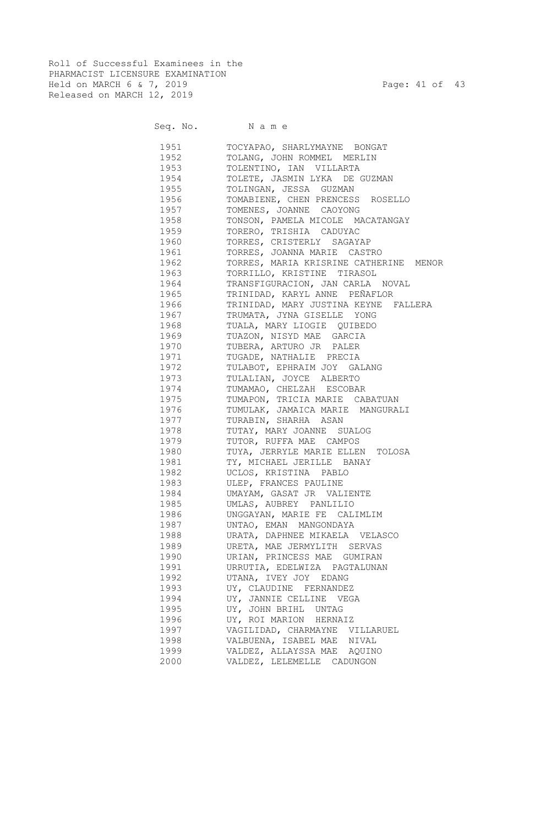Roll of Successful Examinees in the PHARMACIST LICENSURE EXAMINATION Held on MARCH 6 & 7, 2019 Page: 41 of 43 Released on MARCH 12, 2019

|      | Seq. No. Name                          |
|------|----------------------------------------|
| 1951 | TOCYAPAO, SHARLYMAYNE BONGAT           |
| 1952 | TOLANG, JOHN ROMMEL MERLIN             |
| 1953 | TOLENTINO, IAN VILLARTA                |
| 1954 | TOLETE, JASMIN LYKA DE GUZMAN          |
| 1955 | TOLINGAN, JESSA GUZMAN                 |
| 1956 | TOMABIENE, CHEN PRENCESS ROSELLO       |
| 1957 | TOMENES, JOANNE CAOYONG                |
| 1958 | TONSON, PAMELA MICOLE MACATANGAY       |
| 1959 | TORERO, TRISHIA CADUYAC                |
| 1960 | TORRES, CRISTERLY SAGAYAP              |
| 1961 | TORRES, JOANNA MARIE CASTRO            |
| 1962 | TORRES, MARIA KRISRINE CATHERINE MENOR |
| 1963 | TORRILLO, KRISTINE TIRASOL             |
| 1964 | TRANSFIGURACION, JAN CARLA NOVAL       |
| 1965 | TRINIDAD, KARYL ANNE PEÑAFLOR          |
| 1966 | TRINIDAD, MARY JUSTINA KEYNE FALLERA   |
| 1967 | TRUMATA, JYNA GISELLE YONG             |
| 1968 | TUALA, MARY LIOGIE QUIBEDO             |
| 1969 | TUAZON, NISYD MAE GARCIA               |
| 1970 | TUBERA, ARTURO JR PALER                |
| 1971 | TUGADE, NATHALIE PRECIA                |
| 1972 | TULABOT, EPHRAIM JOY GALANG            |
| 1973 | TULALIAN, JOYCE ALBERTO                |
| 1974 | TUMAMAO, CHELZAH ESCOBAR               |
| 1975 | TUMAPON, TRICIA MARIE CABATUAN         |
| 1976 | TUMULAK, JAMAICA MARIE MANGURALI       |
| 1977 | TURABIN, SHARHA ASAN                   |
| 1978 | TUTAY, MARY JOANNE SUALOG              |
| 1979 | TUTOR, RUFFA MAE CAMPOS                |
| 1980 | TUYA, JERRYLE MARIE ELLEN TOLOSA       |
| 1981 | TY, MICHAEL JERILLE BANAY              |
| 1982 | UCLOS, KRISTINA PABLO                  |
| 1983 | ULEP, FRANCES PAULINE                  |
| 1984 | UMAYAM, GASAT JR VALIENTE              |
| 1985 | UMLAS, AUBREY PANLILIO                 |
| 1986 | UNGGAYAN, MARIE FE CALIMLIM            |
| 1987 | UNTAO, EMAN MANGONDAYA                 |
| 1988 | URATA, DAPHNEE MIKAELA VELASCO         |
| 1989 | URETA, MAE JERMYLITH SERVAS            |
| 1990 | URIAN, PRINCESS MAE GUMIRAN            |
| 1991 | URRUTIA, EDELWIZA PAGTALUNAN           |
| 1992 | UTANA, IVEY JOY EDANG                  |
| 1993 | UY, CLAUDINE FERNANDEZ                 |
| 1994 | UY, JANNIE CELLINE VEGA                |
| 1995 | UY, JOHN BRIHL UNTAG                   |
| 1996 | UY, ROI MARION HERNAIZ                 |
| 1997 | VAGILIDAD, CHARMAYNE VILLARUEL         |
| 1998 | VALBUENA, ISABEL MAE NIVAL             |
| 1999 | VALDEZ, ALLAYSSA MAE AQUINO            |
| 2000 | VALDEZ, LELEMELLE CADUNGON             |
|      |                                        |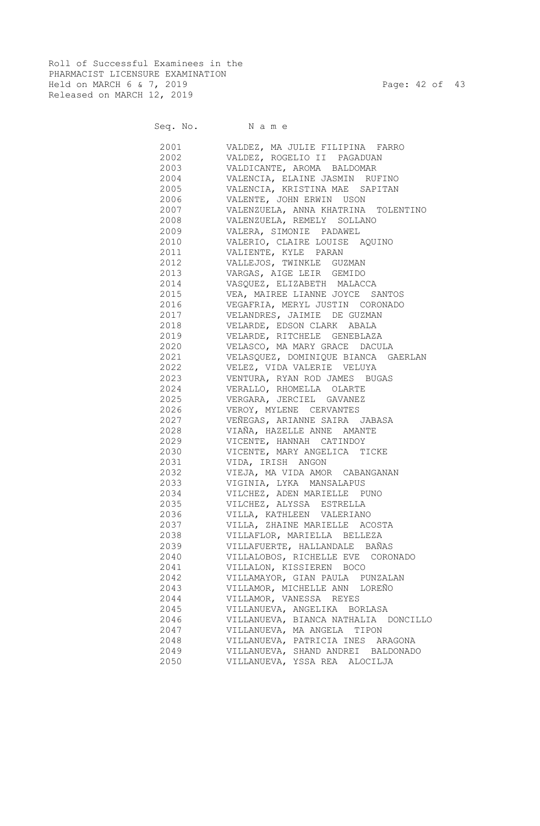Roll of Successful Examinees in the PHARMACIST LICENSURE EXAMINATION Held on MARCH 6 & 7, 2019 Page: 42 of 43 Released on MARCH 12, 2019

| Seq. No. |  |  | Name |  |  |
|----------|--|--|------|--|--|
|----------|--|--|------|--|--|

| 2001      | VALDEZ, MA JULIE FILIPINA FARRO                            |
|-----------|------------------------------------------------------------|
| 2002      | VALDEZ, ROGELIO II PAGADUAN                                |
| 2003      | VALDICANTE, AROMA BALDOMAR                                 |
| 2004      | VALENCIA, ELAINE JASMIN RUFINO                             |
| 2005      | VALENCIA, KRISTINA MAE SAPITAN                             |
| 2006      | VALENTE, JOHN ERWIN USON                                   |
| 2007      | VALENZUELA, ANNA KHATRINA TOLENTINO                        |
| 2008      | VALENZUELA, REMELY SOLLANO                                 |
| 2009      | VALERA, SIMONIE PADAWEL                                    |
| 2010      |                                                            |
|           | VALERIO, CLAIRE LOUISE AQUINO<br>2011 VALIENTE, KYLE PARAN |
|           |                                                            |
|           | 2012 VALLEJOS, TWINKLE GUZMAN                              |
|           | 2013 VARGAS, AIGE LEIR GEMIDO                              |
|           | 2014 VASQUEZ, ELIZABETH MALACCA                            |
|           | 2015 VEA, MAIREE LIANNE JOYCE SANTOS                       |
|           | 2016 VEGAFRIA, MERYL JUSTIN CORONADO                       |
|           | 2017 VELANDRES, JAIMIE DE GUZMAN                           |
|           | 2018 VELARDE, EDSON CLARK ABALA                            |
|           | 2019 VELARDE, RITCHELE GENEBLAZA                           |
|           | 2020 VELASCO, MA MARY GRACE DACULA                         |
|           | 2021 VELASQUEZ, DOMINIQUE BIANCA GAERLAN                   |
|           | 2022 VELEZ, VIDA VALERIE VELUYA                            |
|           | 2023 VENTURA, RYAN ROD JAMES BUGAS                         |
|           | 2024 VERALLO, RHOMELLA OLARTE                              |
|           | 2025 VERGARA, JERCIEL GAVANEZ                              |
|           | 2026 VEROY, MYLENE CERVANTES                               |
| 2027      | VEÑEGAS, ARIANNE SAIRA JABASA                              |
|           | VIAÑA, HAZELLE ANNE AMANTE                                 |
| 2029 702  | VICENTE, HANNAH CATINDOY                                   |
| 2030 000  | VICENTE, MARY ANGELICA TICKE                               |
|           | 2031 VIDA, IRISH ANGON                                     |
|           | 2032 VIEJA, MA VIDA AMOR CABANGANAN                        |
| 2033 2012 | VIGINIA, LYKA MANSALAPUS                                   |
| 2034      | VILCHEZ, ADEN MARIELLE PUNO                                |
|           | 2035 VILCHEZ, ALYSSA ESTRELLA                              |
|           | 2036 VILLA, KATHLEEN VALERIANO                             |
| 2037      | VILLA, ZHAINE MARIELLE ACOSTA                              |
| 2038      | VILLAFLOR, MARIELLA BELLEZA                                |
| 2039      | VILLAFUERTE, HALLANDALE BAÑAS                              |
| 2040      | VILLALOBOS, RICHELLE EVE CORONADO                          |
| 2041      | VILLALON, KISSIEREN BOCO                                   |
| 2042      | VILLAMAYOR, GIAN PAULA PUNZALAN                            |
| 2043      | VILLAMOR, MICHELLE ANN LOREÑO                              |
| 2044      | VILLAMOR, VANESSA REYES                                    |
| 2045      | VILLANUEVA, ANGELIKA BORLASA                               |
| 2046      | VILLANUEVA, BIANCA NATHALIA DONCILLO                       |
| 2047      | VILLANUEVA, MA ANGELA<br>TIPON                             |
| 2048      | VILLANUEVA, PATRICIA INES ARAGONA                          |
| 2049      | VILLANUEVA, SHAND ANDREI BALDONADO                         |
|           |                                                            |
| 2050      | VILLANUEVA, YSSA REA ALOCILJA                              |